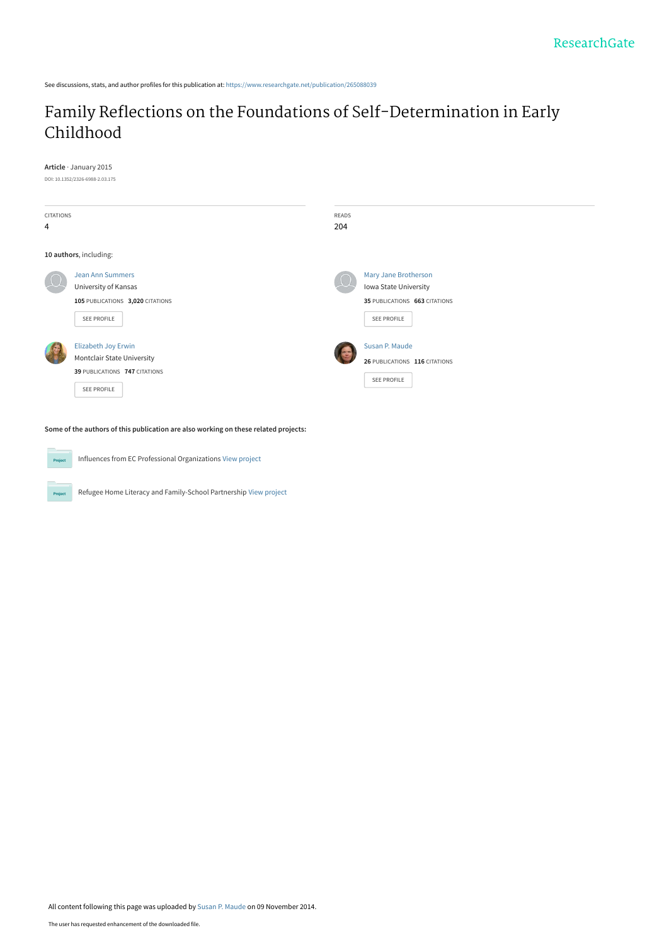See discussions, stats, and author profiles for this publication at: [https://www.researchgate.net/publication/265088039](https://www.researchgate.net/publication/265088039_Family_Reflections_on_the_Foundations_of_Self-Determination_in_Early_Childhood?enrichId=rgreq-665807a10f8afd1baeb4a48f4abbfd33-XXX&enrichSource=Y292ZXJQYWdlOzI2NTA4ODAzOTtBUzoxNjE2OTcwMDQyNjk1NjhAMTQxNTU2Mjk3ODM5Nw%3D%3D&el=1_x_2&_esc=publicationCoverPdf)

## [Family Reflections on the Foundations of Self-Determination in Early](https://www.researchgate.net/publication/265088039_Family_Reflections_on_the_Foundations_of_Self-Determination_in_Early_Childhood?enrichId=rgreq-665807a10f8afd1baeb4a48f4abbfd33-XXX&enrichSource=Y292ZXJQYWdlOzI2NTA4ODAzOTtBUzoxNjE2OTcwMDQyNjk1NjhAMTQxNTU2Mjk3ODM5Nw%3D%3D&el=1_x_3&_esc=publicationCoverPdf) Childhood

**Article** · January 2015

DOI: 10.1352/2326-6988-2.03.175

| <b>CITATIONS</b> |                                  | READS |                               |
|------------------|----------------------------------|-------|-------------------------------|
| 4                |                                  | 204   |                               |
|                  |                                  |       |                               |
|                  | 10 authors, including:           |       |                               |
|                  | <b>Jean Ann Summers</b>          |       | Mary Jane Brotherson          |
|                  | University of Kansas             |       | Iowa State University         |
|                  | 105 PUBLICATIONS 3,020 CITATIONS |       | 35 PUBLICATIONS 663 CITATIONS |
|                  | SEE PROFILE                      |       | SEE PROFILE                   |
|                  |                                  |       |                               |
|                  | <b>Elizabeth Joy Erwin</b>       |       | Susan P. Maude                |
|                  | Montclair State University       |       | 26 PUBLICATIONS 116 CITATIONS |
|                  | 39 PUBLICATIONS 747 CITATIONS    |       |                               |
|                  | SEE PROFILE                      |       | SEE PROFILE                   |
|                  |                                  |       |                               |
|                  |                                  |       |                               |

**Some of the authors of this publication are also working on these related projects:**

Influences from EC Professional Organizations [View project](https://www.researchgate.net/project/Influences-from-EC-Professional-Organizations?enrichId=rgreq-665807a10f8afd1baeb4a48f4abbfd33-XXX&enrichSource=Y292ZXJQYWdlOzI2NTA4ODAzOTtBUzoxNjE2OTcwMDQyNjk1NjhAMTQxNTU2Mjk3ODM5Nw%3D%3D&el=1_x_9&_esc=publicationCoverPdf) **Project** Refugee Home Literacy and Family-School Partnership [View project](https://www.researchgate.net/project/Refugee-Home-Literacy-and-Family-School-Partnership?enrichId=rgreq-665807a10f8afd1baeb4a48f4abbfd33-XXX&enrichSource=Y292ZXJQYWdlOzI2NTA4ODAzOTtBUzoxNjE2OTcwMDQyNjk1NjhAMTQxNTU2Mjk3ODM5Nw%3D%3D&el=1_x_9&_esc=publicationCoverPdf) **Project**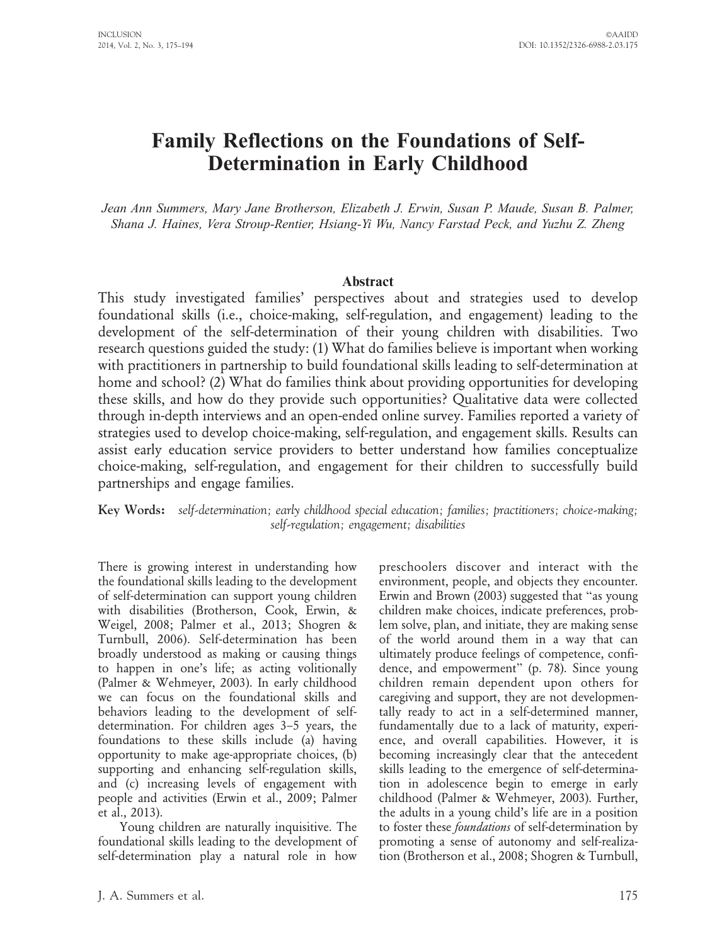# Family Reflections on the Foundations of Self-Determination in Early Childhood

Jean Ann Summers, Mary Jane Brotherson, Elizabeth J. Erwin, Susan P. Maude, Susan B. Palmer, Shana J. Haines, Vera Stroup-Rentier, Hsiang-Yi Wu, Nancy Farstad Peck, and Yuzhu Z. Zheng

#### Abstract

This study investigated families' perspectives about and strategies used to develop foundational skills (i.e., choice-making, self-regulation, and engagement) leading to the development of the self-determination of their young children with disabilities. Two research questions guided the study: (1) What do families believe is important when working with practitioners in partnership to build foundational skills leading to self-determination at home and school? (2) What do families think about providing opportunities for developing these skills, and how do they provide such opportunities? Qualitative data were collected through in-depth interviews and an open-ended online survey. Families reported a variety of strategies used to develop choice-making, self-regulation, and engagement skills. Results can assist early education service providers to better understand how families conceptualize choice-making, self-regulation, and engagement for their children to successfully build partnerships and engage families.

#### Key Words: self-determination; early childhood special education; families; practitioners; choice-making; self-regulation; engagement; disabilities

There is growing interest in understanding how the foundational skills leading to the development of self-determination can support young children with disabilities (Brotherson, Cook, Erwin, & Weigel, 2008; Palmer et al., 2013; Shogren & Turnbull, 2006). Self-determination has been broadly understood as making or causing things to happen in one's life; as acting volitionally (Palmer & Wehmeyer, 2003). In early childhood we can focus on the foundational skills and behaviors leading to the development of selfdetermination. For children ages 3–5 years, the foundations to these skills include (a) having opportunity to make age-appropriate choices, (b) supporting and enhancing self-regulation skills, and (c) increasing levels of engagement with people and activities (Erwin et al., 2009; Palmer et al., 2013).

Young children are naturally inquisitive. The foundational skills leading to the development of self-determination play a natural role in how preschoolers discover and interact with the environment, people, and objects they encounter. Erwin and Brown (2003) suggested that ''as young children make choices, indicate preferences, problem solve, plan, and initiate, they are making sense of the world around them in a way that can ultimately produce feelings of competence, confidence, and empowerment'' (p. 78). Since young children remain dependent upon others for caregiving and support, they are not developmentally ready to act in a self-determined manner, fundamentally due to a lack of maturity, experience, and overall capabilities. However, it is becoming increasingly clear that the antecedent skills leading to the emergence of self-determination in adolescence begin to emerge in early childhood (Palmer & Wehmeyer, 2003). Further, the adults in a young child's life are in a position to foster these *foundations* of self-determination by promoting a sense of autonomy and self-realization (Brotherson et al., 2008; Shogren & Turnbull,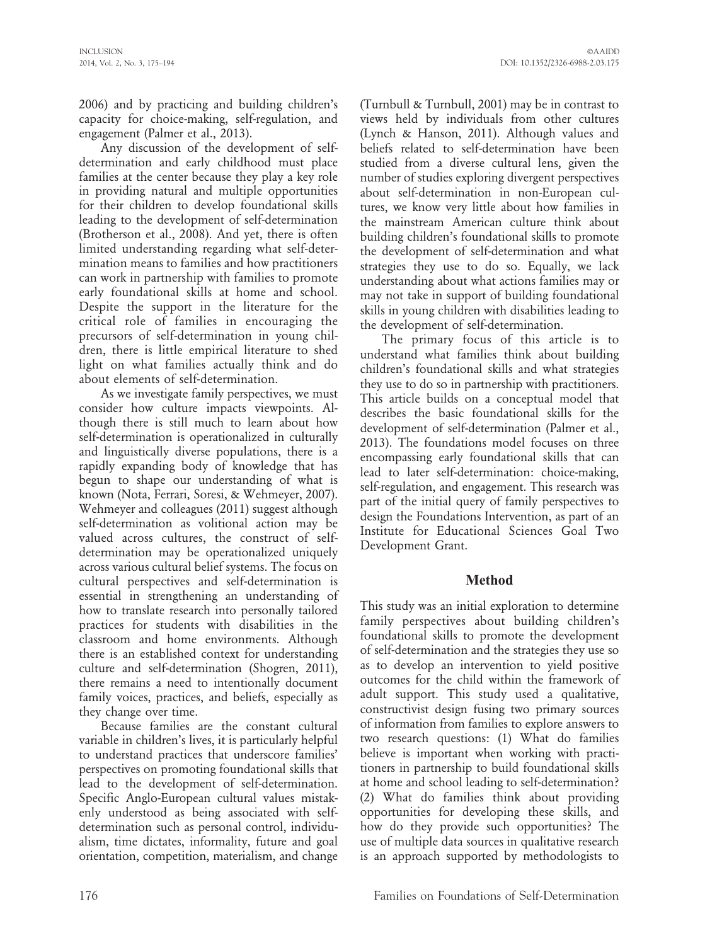2006) and by practicing and building children's capacity for choice-making, self-regulation, and engagement (Palmer et al., 2013).

Any discussion of the development of selfdetermination and early childhood must place families at the center because they play a key role in providing natural and multiple opportunities for their children to develop foundational skills leading to the development of self-determination (Brotherson et al., 2008). And yet, there is often limited understanding regarding what self-determination means to families and how practitioners can work in partnership with families to promote early foundational skills at home and school. Despite the support in the literature for the critical role of families in encouraging the precursors of self-determination in young children, there is little empirical literature to shed light on what families actually think and do about elements of self-determination.

As we investigate family perspectives, we must consider how culture impacts viewpoints. Although there is still much to learn about how self-determination is operationalized in culturally and linguistically diverse populations, there is a rapidly expanding body of knowledge that has begun to shape our understanding of what is known (Nota, Ferrari, Soresi, & Wehmeyer, 2007). Wehmeyer and colleagues (2011) suggest although self-determination as volitional action may be valued across cultures, the construct of selfdetermination may be operationalized uniquely across various cultural belief systems. The focus on cultural perspectives and self-determination is essential in strengthening an understanding of how to translate research into personally tailored practices for students with disabilities in the classroom and home environments. Although there is an established context for understanding culture and self-determination (Shogren, 2011), there remains a need to intentionally document family voices, practices, and beliefs, especially as they change over time.

Because families are the constant cultural variable in children's lives, it is particularly helpful to understand practices that underscore families' perspectives on promoting foundational skills that lead to the development of self-determination. Specific Anglo-European cultural values mistakenly understood as being associated with selfdetermination such as personal control, individualism, time dictates, informality, future and goal orientation, competition, materialism, and change

(Turnbull & Turnbull, 2001) may be in contrast to views held by individuals from other cultures (Lynch & Hanson, 2011). Although values and beliefs related to self-determination have been studied from a diverse cultural lens, given the number of studies exploring divergent perspectives about self-determination in non-European cultures, we know very little about how families in the mainstream American culture think about building children's foundational skills to promote the development of self-determination and what strategies they use to do so. Equally, we lack understanding about what actions families may or may not take in support of building foundational skills in young children with disabilities leading to the development of self-determination.

The primary focus of this article is to understand what families think about building children's foundational skills and what strategies they use to do so in partnership with practitioners. This article builds on a conceptual model that describes the basic foundational skills for the development of self-determination (Palmer et al., 2013). The foundations model focuses on three encompassing early foundational skills that can lead to later self-determination: choice-making, self-regulation, and engagement. This research was part of the initial query of family perspectives to design the Foundations Intervention, as part of an Institute for Educational Sciences Goal Two Development Grant.

## **Method**

This study was an initial exploration to determine family perspectives about building children's foundational skills to promote the development of self-determination and the strategies they use so as to develop an intervention to yield positive outcomes for the child within the framework of adult support. This study used a qualitative, constructivist design fusing two primary sources of information from families to explore answers to two research questions: (1) What do families believe is important when working with practitioners in partnership to build foundational skills at home and school leading to self-determination? (2) What do families think about providing opportunities for developing these skills, and how do they provide such opportunities? The use of multiple data sources in qualitative research is an approach supported by methodologists to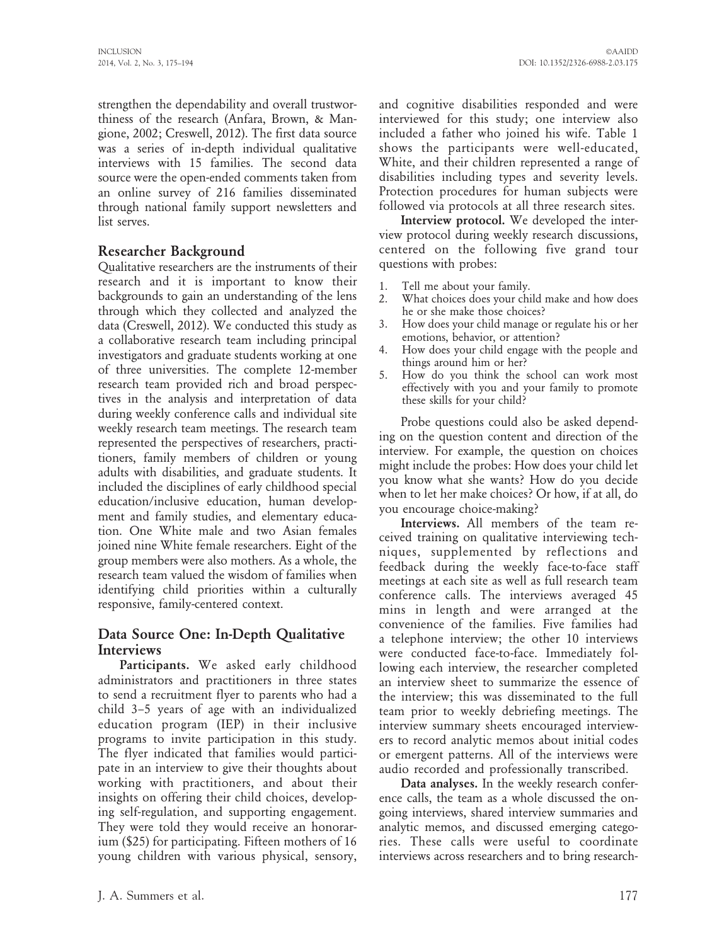strengthen the dependability and overall trustworthiness of the research (Anfara, Brown, & Mangione, 2002; Creswell, 2012). The first data source was a series of in-depth individual qualitative interviews with 15 families. The second data source were the open-ended comments taken from an online survey of 216 families disseminated through national family support newsletters and list serves.

## Researcher Background

Qualitative researchers are the instruments of their research and it is important to know their backgrounds to gain an understanding of the lens through which they collected and analyzed the data (Creswell, 2012). We conducted this study as a collaborative research team including principal investigators and graduate students working at one of three universities. The complete 12-member research team provided rich and broad perspectives in the analysis and interpretation of data during weekly conference calls and individual site weekly research team meetings. The research team represented the perspectives of researchers, practitioners, family members of children or young adults with disabilities, and graduate students. It included the disciplines of early childhood special education/inclusive education, human development and family studies, and elementary education. One White male and two Asian females joined nine White female researchers. Eight of the group members were also mothers. As a whole, the research team valued the wisdom of families when identifying child priorities within a culturally responsive, family-centered context.

## Data Source One: In-Depth Qualitative Interviews

Participants. We asked early childhood administrators and practitioners in three states to send a recruitment flyer to parents who had a child 3–5 years of age with an individualized education program (IEP) in their inclusive programs to invite participation in this study. The flyer indicated that families would participate in an interview to give their thoughts about working with practitioners, and about their insights on offering their child choices, developing self-regulation, and supporting engagement. They were told they would receive an honorarium (\$25) for participating. Fifteen mothers of 16 young children with various physical, sensory, and cognitive disabilities responded and were interviewed for this study; one interview also included a father who joined his wife. Table 1 shows the participants were well-educated, White, and their children represented a range of disabilities including types and severity levels. Protection procedures for human subjects were followed via protocols at all three research sites.

Interview protocol. We developed the interview protocol during weekly research discussions, centered on the following five grand tour questions with probes:

- 1. Tell me about your family.
- 2. What choices does your child make and how does he or she make those choices?
- 3. How does your child manage or regulate his or her emotions, behavior, or attention?
- 4. How does your child engage with the people and things around him or her?
- 5. How do you think the school can work most effectively with you and your family to promote these skills for your child?

Probe questions could also be asked depending on the question content and direction of the interview. For example, the question on choices might include the probes: How does your child let you know what she wants? How do you decide when to let her make choices? Or how, if at all, do you encourage choice-making?

Interviews. All members of the team received training on qualitative interviewing techniques, supplemented by reflections and feedback during the weekly face-to-face staff meetings at each site as well as full research team conference calls. The interviews averaged 45 mins in length and were arranged at the convenience of the families. Five families had a telephone interview; the other 10 interviews were conducted face-to-face. Immediately following each interview, the researcher completed an interview sheet to summarize the essence of the interview; this was disseminated to the full team prior to weekly debriefing meetings. The interview summary sheets encouraged interviewers to record analytic memos about initial codes or emergent patterns. All of the interviews were audio recorded and professionally transcribed.

Data analyses. In the weekly research conference calls, the team as a whole discussed the ongoing interviews, shared interview summaries and analytic memos, and discussed emerging categories. These calls were useful to coordinate interviews across researchers and to bring research-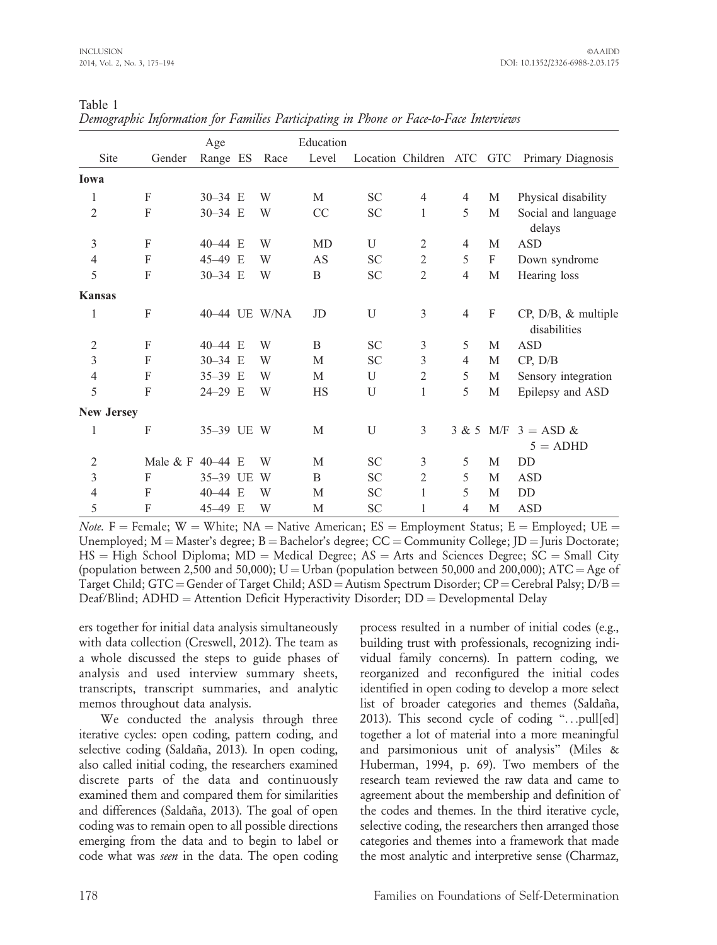|                   |                           | Age         |               | Education     |           |                           |                |             |                                              |
|-------------------|---------------------------|-------------|---------------|---------------|-----------|---------------------------|----------------|-------------|----------------------------------------------|
| Site              | Gender                    | Range ES    | Race          | Level         |           | Location Children ATC GTC |                |             | Primary Diagnosis                            |
| Iowa              |                           |             |               |               |           |                           |                |             |                                              |
| 1                 | $\mathbf{F}$              | 30-34 E     | W             | M             | <b>SC</b> | $\overline{4}$            | 4              | M           | Physical disability                          |
| $\overline{2}$    | $\mathbf F$               | 30-34 E     | W             | <sub>CC</sub> | <b>SC</b> | 1                         | 5              | M           | Social and language<br>delays                |
| 3                 | $\mathbf{F}$              | $40 - 44$ E | W             | <b>MD</b>     | U         | $\overline{2}$            | 4              | M           | <b>ASD</b>                                   |
| 4                 | $\mathbf F$               | 45-49 E     | W             | AS            | <b>SC</b> | $\mathbf{2}$              | 5              | F           | Down syndrome                                |
| 5                 | $\mathbf F$               | 30-34 E     | W             | B             | <b>SC</b> | $\overline{2}$            | $\overline{4}$ | $\mathbf M$ | Hearing loss                                 |
| <b>Kansas</b>     |                           |             |               |               |           |                           |                |             |                                              |
| 1                 | $\boldsymbol{\mathrm{F}}$ |             | 40–44 UE W/NA | JD            | U         | 3                         | $\overline{4}$ | F           | $CP$ , $D/B$ , $\&$ multiple<br>disabilities |
| $\overline{c}$    | $\boldsymbol{\mathrm{F}}$ | $40-44$ E   | W             | B             | <b>SC</b> | 3                         | 5              | M           | <b>ASD</b>                                   |
| 3                 | $\mathbf F$               | 30-34 E     | W             | M             | <b>SC</b> | 3                         | $\overline{4}$ | M           | CP, D/B                                      |
| 4                 | $\boldsymbol{F}$          | 35-39 E     | W             | M             | U         | $\mathbf{2}$              | 5              | M           | Sensory integration                          |
| 5                 | F                         | 24-29 E     | W             | <b>HS</b>     | U         | $\mathbf{1}$              | 5              | $\mathbf M$ | Epilepsy and ASD                             |
| <b>New Jersey</b> |                           |             |               |               |           |                           |                |             |                                              |
| 1                 | $\mathbf F$               | 35-39 UE W  |               | M             | U         | 3                         | 3 & 5          | M/F         | $3 = \text{ASD} \&$<br>$5 = ADHD$            |
| $\overline{c}$    | Male $&$ F                | $40 - 44$ E | W             | M             | <b>SC</b> | 3                         | 5              | M           | DD                                           |
| 3                 | F                         | 35-39 UE    | W             | B             | <b>SC</b> | 2                         | 5              | M           | <b>ASD</b>                                   |
| 4                 | F                         | $40 - 44$ E | W             | M             | <b>SC</b> | 1                         | 5              | M           | <b>DD</b>                                    |
| 5                 | F                         | 45-49 E     | W             | М             | <b>SC</b> | 1                         | 4              | M           | <b>ASD</b>                                   |

Table 1

| Demographic Information for Families Participating in Phone or Face-to-Face Interviews |  |  |  |
|----------------------------------------------------------------------------------------|--|--|--|
|----------------------------------------------------------------------------------------|--|--|--|

*Note.* F = Female; W = White; NA = Native American; ES = Employment Status; E = Employed; UE = Unemployed; M = Master's degree; B = Bachelor's degree;  $CC =$  Community College; JD = Juris Doctorate;  $HS = High School Diploma; MD = Medical Degree; AS = Arts and Sciences Degree; SC = Small City$ (population between 2,500 and 50,000);  $U = Ur$ ban (population between 50,000 and 200,000); ATC = Age of Target Child; GTC = Gender of Target Child; ASD = Autism Spectrum Disorder; CP = Cerebral Palsy;  $D/B =$ Deaf/Blind; ADHD = Attention Deficit Hyperactivity Disorder; DD = Developmental Delay

ers together for initial data analysis simultaneously with data collection (Creswell, 2012). The team as a whole discussed the steps to guide phases of analysis and used interview summary sheets, transcripts, transcript summaries, and analytic memos throughout data analysis.

We conducted the analysis through three iterative cycles: open coding, pattern coding, and selective coding (Saldaña, 2013). In open coding, also called initial coding, the researchers examined discrete parts of the data and continuously examined them and compared them for similarities and differences (Saldaña, 2013). The goal of open coding was to remain open to all possible directions emerging from the data and to begin to label or code what was *seen* in the data. The open coding

process resulted in a number of initial codes (e.g., building trust with professionals, recognizing individual family concerns). In pattern coding, we reorganized and reconfigured the initial codes identified in open coding to develop a more select list of broader categories and themes (Saldaña, 2013). This second cycle of coding "...pull[ed] together a lot of material into a more meaningful and parsimonious unit of analysis'' (Miles & Huberman, 1994, p. 69). Two members of the research team reviewed the raw data and came to agreement about the membership and definition of the codes and themes. In the third iterative cycle, selective coding, the researchers then arranged those categories and themes into a framework that made the most analytic and interpretive sense (Charmaz,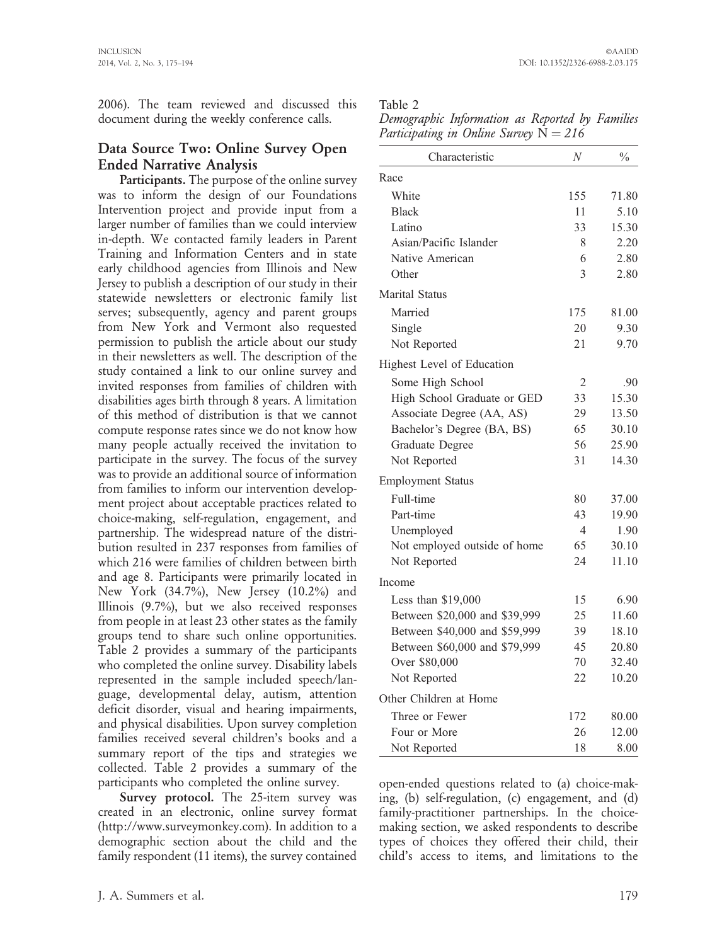2006). The team reviewed and discussed this document during the weekly conference calls.

## Data Source Two: Online Survey Open Ended Narrative Analysis

Participants. The purpose of the online survey was to inform the design of our Foundations Intervention project and provide input from a larger number of families than we could interview in-depth. We contacted family leaders in Parent Training and Information Centers and in state early childhood agencies from Illinois and New Jersey to publish a description of our study in their statewide newsletters or electronic family list serves; subsequently, agency and parent groups from New York and Vermont also requested permission to publish the article about our study in their newsletters as well. The description of the study contained a link to our online survey and invited responses from families of children with disabilities ages birth through 8 years. A limitation of this method of distribution is that we cannot compute response rates since we do not know how many people actually received the invitation to participate in the survey. The focus of the survey was to provide an additional source of information from families to inform our intervention development project about acceptable practices related to choice-making, self-regulation, engagement, and partnership. The widespread nature of the distribution resulted in 237 responses from families of which 216 were families of children between birth and age 8. Participants were primarily located in New York (34.7%), New Jersey (10.2%) and Illinois (9.7%), but we also received responses from people in at least 23 other states as the family groups tend to share such online opportunities. Table 2 provides a summary of the participants who completed the online survey. Disability labels represented in the sample included speech/language, developmental delay, autism, attention deficit disorder, visual and hearing impairments, and physical disabilities. Upon survey completion families received several children's books and a summary report of the tips and strategies we collected. Table 2 provides a summary of the participants who completed the online survey.

Survey protocol. The 25-item survey was created in an electronic, online survey format (http://www.surveymonkey.com). In addition to a demographic section about the child and the family respondent (11 items), the survey contained

Demographic Information as Reported by Families Participating in Online Survey  $N = 216$ 

| Characteristic                | $\boldsymbol{N}$ | $\frac{0}{0}$ |
|-------------------------------|------------------|---------------|
| Race                          |                  |               |
| White                         | 155              | 71.80         |
| <b>Black</b>                  | 11               | 5.10          |
| Latino                        | 33               | 15.30         |
| Asian/Pacific Islander        | 8                | 2.20          |
| Native American               | 6                | 2.80          |
| Other                         | 3                | 2.80          |
| <b>Marital Status</b>         |                  |               |
| Married                       | 175              | 81.00         |
| Single                        | 20               | 9.30          |
| Not Reported                  | 21               | 9.70          |
| Highest Level of Education    |                  |               |
| Some High School              | $\overline{2}$   | .90           |
| High School Graduate or GED   | 33               | 15.30         |
| Associate Degree (AA, AS)     | 29               | 13.50         |
| Bachelor's Degree (BA, BS)    | 65               | 30.10         |
| <b>Graduate Degree</b>        | 56               | 25.90         |
| Not Reported                  | 31               | 14.30         |
| <b>Employment Status</b>      |                  |               |
| Full-time                     | 80               | 37.00         |
| Part-time                     | 43               | 19.90         |
| Unemployed                    | 4                | 1.90          |
| Not employed outside of home  | 65               | 30.10         |
| Not Reported                  | 24               | 11.10         |
| Income                        |                  |               |
| Less than \$19,000            | 15               | 6.90          |
| Between \$20,000 and \$39,999 | 25               | 11.60         |
| Between \$40,000 and \$59,999 | 39               | 18.10         |
| Between \$60,000 and \$79,999 | 45               | 20.80         |
| Over \$80,000                 | 70               | 32.40         |
| Not Reported                  | 22               | 10.20         |
| Other Children at Home        |                  |               |
| Three or Fewer                | 172              | 80.00         |
| Four or More                  | 26               | 12.00         |
| Not Reported                  | 18               | 8.00          |

open-ended questions related to (a) choice-making, (b) self-regulation, (c) engagement, and (d) family-practitioner partnerships. In the choicemaking section, we asked respondents to describe types of choices they offered their child, their child's access to items, and limitations to the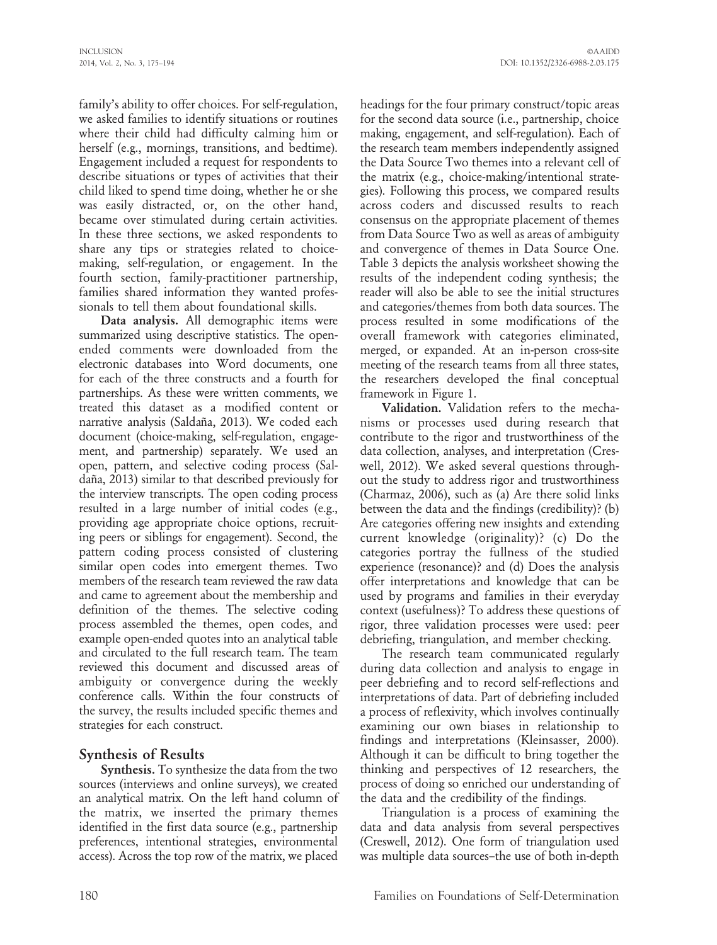family's ability to offer choices. For self-regulation, we asked families to identify situations or routines where their child had difficulty calming him or herself (e.g., mornings, transitions, and bedtime). Engagement included a request for respondents to describe situations or types of activities that their child liked to spend time doing, whether he or she was easily distracted, or, on the other hand, became over stimulated during certain activities. In these three sections, we asked respondents to share any tips or strategies related to choicemaking, self-regulation, or engagement. In the fourth section, family-practitioner partnership, families shared information they wanted professionals to tell them about foundational skills.

Data analysis. All demographic items were summarized using descriptive statistics. The openended comments were downloaded from the electronic databases into Word documents, one for each of the three constructs and a fourth for partnerships. As these were written comments, we treated this dataset as a modified content or narrative analysis (Saldaña, 2013). We coded each document (choice-making, self-regulation, engagement, and partnership) separately. We used an open, pattern, and selective coding process (Saldaña, 2013) similar to that described previously for the interview transcripts. The open coding process resulted in a large number of initial codes (e.g., providing age appropriate choice options, recruiting peers or siblings for engagement). Second, the pattern coding process consisted of clustering similar open codes into emergent themes. Two members of the research team reviewed the raw data and came to agreement about the membership and definition of the themes. The selective coding process assembled the themes, open codes, and example open-ended quotes into an analytical table and circulated to the full research team. The team reviewed this document and discussed areas of ambiguity or convergence during the weekly conference calls. Within the four constructs of the survey, the results included specific themes and strategies for each construct.

## Synthesis of Results

Synthesis. To synthesize the data from the two sources (interviews and online surveys), we created an analytical matrix. On the left hand column of the matrix, we inserted the primary themes identified in the first data source (e.g., partnership preferences, intentional strategies, environmental access). Across the top row of the matrix, we placed

headings for the four primary construct/topic areas for the second data source (i.e., partnership, choice making, engagement, and self-regulation). Each of the research team members independently assigned the Data Source Two themes into a relevant cell of the matrix (e.g., choice-making/intentional strategies). Following this process, we compared results across coders and discussed results to reach consensus on the appropriate placement of themes from Data Source Two as well as areas of ambiguity and convergence of themes in Data Source One. Table 3 depicts the analysis worksheet showing the results of the independent coding synthesis; the reader will also be able to see the initial structures and categories/themes from both data sources. The process resulted in some modifications of the overall framework with categories eliminated, merged, or expanded. At an in-person cross-site meeting of the research teams from all three states, the researchers developed the final conceptual framework in Figure 1.

Validation. Validation refers to the mechanisms or processes used during research that contribute to the rigor and trustworthiness of the data collection, analyses, and interpretation (Creswell, 2012). We asked several questions throughout the study to address rigor and trustworthiness (Charmaz, 2006), such as (a) Are there solid links between the data and the findings (credibility)? (b) Are categories offering new insights and extending current knowledge (originality)? (c) Do the categories portray the fullness of the studied experience (resonance)? and (d) Does the analysis offer interpretations and knowledge that can be used by programs and families in their everyday context (usefulness)? To address these questions of rigor, three validation processes were used: peer debriefing, triangulation, and member checking.

The research team communicated regularly during data collection and analysis to engage in peer debriefing and to record self-reflections and interpretations of data. Part of debriefing included a process of reflexivity, which involves continually examining our own biases in relationship to findings and interpretations (Kleinsasser, 2000). Although it can be difficult to bring together the thinking and perspectives of 12 researchers, the process of doing so enriched our understanding of the data and the credibility of the findings.

Triangulation is a process of examining the data and data analysis from several perspectives (Creswell, 2012). One form of triangulation used was multiple data sources–the use of both in-depth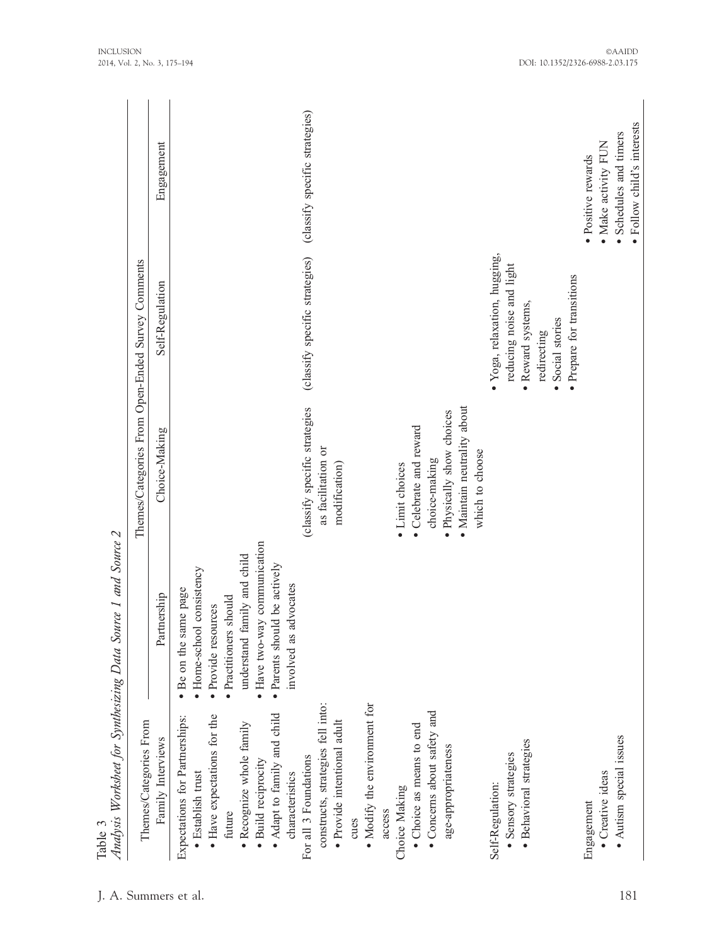| Table 3                                                                                                                                                                                           | Analysis Worksheet for Synthesizing Data Source 1 and Source 2                                                                                                                                                            |                                                                                                                                           |                                                                                                                                                          |                                                                                                   |
|---------------------------------------------------------------------------------------------------------------------------------------------------------------------------------------------------|---------------------------------------------------------------------------------------------------------------------------------------------------------------------------------------------------------------------------|-------------------------------------------------------------------------------------------------------------------------------------------|----------------------------------------------------------------------------------------------------------------------------------------------------------|---------------------------------------------------------------------------------------------------|
| Themes/Categories From                                                                                                                                                                            |                                                                                                                                                                                                                           | Themes/Categories From Open-Ended Survey Comments                                                                                         |                                                                                                                                                          |                                                                                                   |
| Family Interviews                                                                                                                                                                                 | Partnership                                                                                                                                                                                                               | Choice-Making                                                                                                                             | Self-Regulation                                                                                                                                          | Engagement                                                                                        |
| • Adapt to family and child<br>· Have expectations for the<br>Expectations for Partnerships:<br>· Recognize whole family<br>· Build reciprocity<br>· Establish trust<br>characteristics<br>future | Have two-way communication<br>understand family and child<br>· Parents should be actively<br>· Home-school consistency<br>involved as advocates<br>• Be on the same page<br>• Practitioners should<br>· Provide resources |                                                                                                                                           |                                                                                                                                                          |                                                                                                   |
| constructs, strategies fell into:<br>• Modify the environment for<br>· Provide intentional adult<br>For all 3 Foundations<br>access<br>cues                                                       |                                                                                                                                                                                                                           | (classify specific strategies<br>as facilitation or<br>modification)                                                                      | (classify specific strategies)                                                                                                                           | (classify specific strategies)                                                                    |
| • Concerns about safety and<br>• Choice as means to end<br>age-appropriateness<br>Choice Making                                                                                                   |                                                                                                                                                                                                                           | · Maintain neutrality about<br>· Physically show choices<br>• Celebrate and reward<br>which to choose<br>choice-making<br>• Limit choices |                                                                                                                                                          |                                                                                                   |
| · Behavioral strategies<br>· Sensory strategies<br>Self-Regulation:                                                                                                                               |                                                                                                                                                                                                                           |                                                                                                                                           | · Yoga, relaxation, hugging,<br>reducing noise and light<br>• Prepare for transitions<br>• Reward systems,<br>Social stories<br>redirecting<br>$\bullet$ |                                                                                                   |
| • Autism special issues<br>• Creative ideas<br>Engagement                                                                                                                                         |                                                                                                                                                                                                                           |                                                                                                                                           |                                                                                                                                                          | • Follow child's interests<br>· Schedules and timers<br>· Make activity FUN<br>· Positive rewards |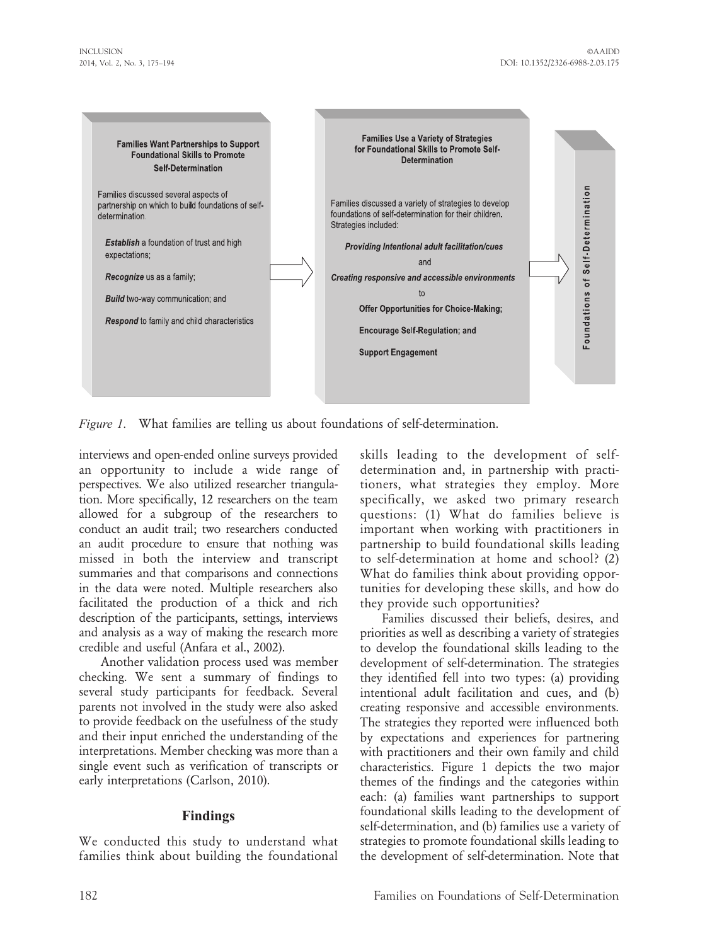

Figure 1. What families are telling us about foundations of self-determination.

interviews and open-ended online surveys provided an opportunity to include a wide range of perspectives. We also utilized researcher triangulation. More specifically, 12 researchers on the team allowed for a subgroup of the researchers to conduct an audit trail; two researchers conducted an audit procedure to ensure that nothing was missed in both the interview and transcript summaries and that comparisons and connections in the data were noted. Multiple researchers also facilitated the production of a thick and rich description of the participants, settings, interviews and analysis as a way of making the research more credible and useful (Anfara et al., 2002).

Another validation process used was member checking. We sent a summary of findings to several study participants for feedback. Several parents not involved in the study were also asked to provide feedback on the usefulness of the study and their input enriched the understanding of the interpretations. Member checking was more than a single event such as verification of transcripts or early interpretations (Carlson, 2010).

#### Findings

We conducted this study to understand what families think about building the foundational

skills leading to the development of selfdetermination and, in partnership with practitioners, what strategies they employ. More specifically, we asked two primary research questions: (1) What do families believe is important when working with practitioners in partnership to build foundational skills leading to self-determination at home and school? (2) What do families think about providing opportunities for developing these skills, and how do they provide such opportunities?

Families discussed their beliefs, desires, and priorities as well as describing a variety of strategies to develop the foundational skills leading to the development of self-determination. The strategies they identified fell into two types: (a) providing intentional adult facilitation and cues, and (b) creating responsive and accessible environments. The strategies they reported were influenced both by expectations and experiences for partnering with practitioners and their own family and child characteristics. Figure 1 depicts the two major themes of the findings and the categories within each: (a) families want partnerships to support foundational skills leading to the development of self-determination, and (b) families use a variety of strategies to promote foundational skills leading to the development of self-determination. Note that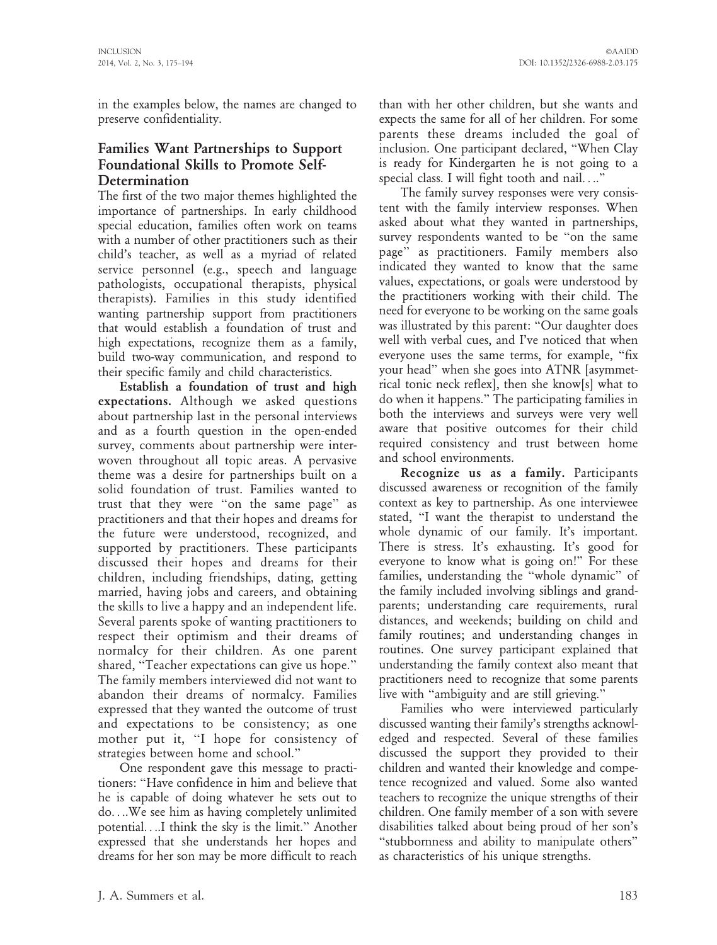in the examples below, the names are changed to preserve confidentiality.

## Families Want Partnerships to Support Foundational Skills to Promote Self-**Determination**

The first of the two major themes highlighted the importance of partnerships. In early childhood special education, families often work on teams with a number of other practitioners such as their child's teacher, as well as a myriad of related service personnel (e.g., speech and language pathologists, occupational therapists, physical therapists). Families in this study identified wanting partnership support from practitioners that would establish a foundation of trust and high expectations, recognize them as a family, build two-way communication, and respond to their specific family and child characteristics.

Establish a foundation of trust and high expectations. Although we asked questions about partnership last in the personal interviews and as a fourth question in the open-ended survey, comments about partnership were interwoven throughout all topic areas. A pervasive theme was a desire for partnerships built on a solid foundation of trust. Families wanted to trust that they were ''on the same page'' as practitioners and that their hopes and dreams for the future were understood, recognized, and supported by practitioners. These participants discussed their hopes and dreams for their children, including friendships, dating, getting married, having jobs and careers, and obtaining the skills to live a happy and an independent life. Several parents spoke of wanting practitioners to respect their optimism and their dreams of normalcy for their children. As one parent shared, ''Teacher expectations can give us hope.'' The family members interviewed did not want to abandon their dreams of normalcy. Families expressed that they wanted the outcome of trust and expectations to be consistency; as one mother put it, ''I hope for consistency of strategies between home and school.''

One respondent gave this message to practitioners: ''Have confidence in him and believe that he is capable of doing whatever he sets out to do....We see him as having completely unlimited potential....I think the sky is the limit.'' Another expressed that she understands her hopes and dreams for her son may be more difficult to reach than with her other children, but she wants and expects the same for all of her children. For some parents these dreams included the goal of inclusion. One participant declared, ''When Clay is ready for Kindergarten he is not going to a special class. I will fight tooth and nail....''

The family survey responses were very consistent with the family interview responses. When asked about what they wanted in partnerships, survey respondents wanted to be ''on the same page'' as practitioners. Family members also indicated they wanted to know that the same values, expectations, or goals were understood by the practitioners working with their child. The need for everyone to be working on the same goals was illustrated by this parent: ''Our daughter does well with verbal cues, and I've noticed that when everyone uses the same terms, for example, ''fix your head'' when she goes into ATNR [asymmetrical tonic neck reflex], then she know[s] what to do when it happens.'' The participating families in both the interviews and surveys were very well aware that positive outcomes for their child required consistency and trust between home and school environments.

Recognize us as a family. Participants discussed awareness or recognition of the family context as key to partnership. As one interviewee stated, ''I want the therapist to understand the whole dynamic of our family. It's important. There is stress. It's exhausting. It's good for everyone to know what is going on!'' For these families, understanding the ''whole dynamic'' of the family included involving siblings and grandparents; understanding care requirements, rural distances, and weekends; building on child and family routines; and understanding changes in routines. One survey participant explained that understanding the family context also meant that practitioners need to recognize that some parents live with ''ambiguity and are still grieving.''

Families who were interviewed particularly discussed wanting their family's strengths acknowledged and respected. Several of these families discussed the support they provided to their children and wanted their knowledge and competence recognized and valued. Some also wanted teachers to recognize the unique strengths of their children. One family member of a son with severe disabilities talked about being proud of her son's ''stubbornness and ability to manipulate others'' as characteristics of his unique strengths.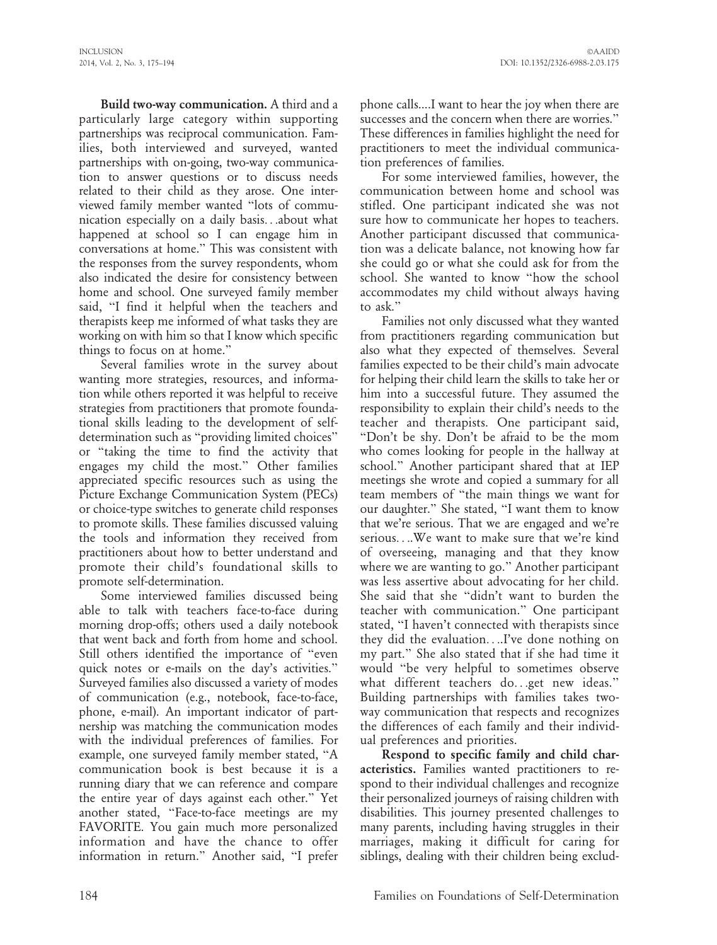Build two-way communication. A third and a particularly large category within supporting partnerships was reciprocal communication. Families, both interviewed and surveyed, wanted partnerships with on-going, two-way communication to answer questions or to discuss needs related to their child as they arose. One interviewed family member wanted ''lots of communication especially on a daily basis...about what happened at school so I can engage him in conversations at home.'' This was consistent with the responses from the survey respondents, whom also indicated the desire for consistency between home and school. One surveyed family member said, ''I find it helpful when the teachers and therapists keep me informed of what tasks they are working on with him so that I know which specific things to focus on at home.''

Several families wrote in the survey about wanting more strategies, resources, and information while others reported it was helpful to receive strategies from practitioners that promote foundational skills leading to the development of selfdetermination such as ''providing limited choices'' or ''taking the time to find the activity that engages my child the most.'' Other families appreciated specific resources such as using the Picture Exchange Communication System (PECs) or choice-type switches to generate child responses to promote skills. These families discussed valuing the tools and information they received from practitioners about how to better understand and promote their child's foundational skills to promote self-determination.

Some interviewed families discussed being able to talk with teachers face-to-face during morning drop-offs; others used a daily notebook that went back and forth from home and school. Still others identified the importance of ''even quick notes or e-mails on the day's activities.'' Surveyed families also discussed a variety of modes of communication (e.g., notebook, face-to-face, phone, e-mail). An important indicator of partnership was matching the communication modes with the individual preferences of families. For example, one surveyed family member stated, ''A communication book is best because it is a running diary that we can reference and compare the entire year of days against each other.'' Yet another stated, ''Face-to-face meetings are my FAVORITE. You gain much more personalized information and have the chance to offer information in return.'' Another said, ''I prefer

phone calls....I want to hear the joy when there are successes and the concern when there are worries.'' These differences in families highlight the need for practitioners to meet the individual communication preferences of families.

For some interviewed families, however, the communication between home and school was stifled. One participant indicated she was not sure how to communicate her hopes to teachers. Another participant discussed that communication was a delicate balance, not knowing how far she could go or what she could ask for from the school. She wanted to know ''how the school accommodates my child without always having to ask.''

Families not only discussed what they wanted from practitioners regarding communication but also what they expected of themselves. Several families expected to be their child's main advocate for helping their child learn the skills to take her or him into a successful future. They assumed the responsibility to explain their child's needs to the teacher and therapists. One participant said, ''Don't be shy. Don't be afraid to be the mom who comes looking for people in the hallway at school.'' Another participant shared that at IEP meetings she wrote and copied a summary for all team members of ''the main things we want for our daughter.'' She stated, ''I want them to know that we're serious. That we are engaged and we're serious....We want to make sure that we're kind of overseeing, managing and that they know where we are wanting to go.'' Another participant was less assertive about advocating for her child. She said that she ''didn't want to burden the teacher with communication.'' One participant stated, ''I haven't connected with therapists since they did the evaluation....I've done nothing on my part.'' She also stated that if she had time it would ''be very helpful to sometimes observe what different teachers do...get new ideas.'' Building partnerships with families takes twoway communication that respects and recognizes the differences of each family and their individual preferences and priorities.

Respond to specific family and child characteristics. Families wanted practitioners to respond to their individual challenges and recognize their personalized journeys of raising children with disabilities. This journey presented challenges to many parents, including having struggles in their marriages, making it difficult for caring for siblings, dealing with their children being exclud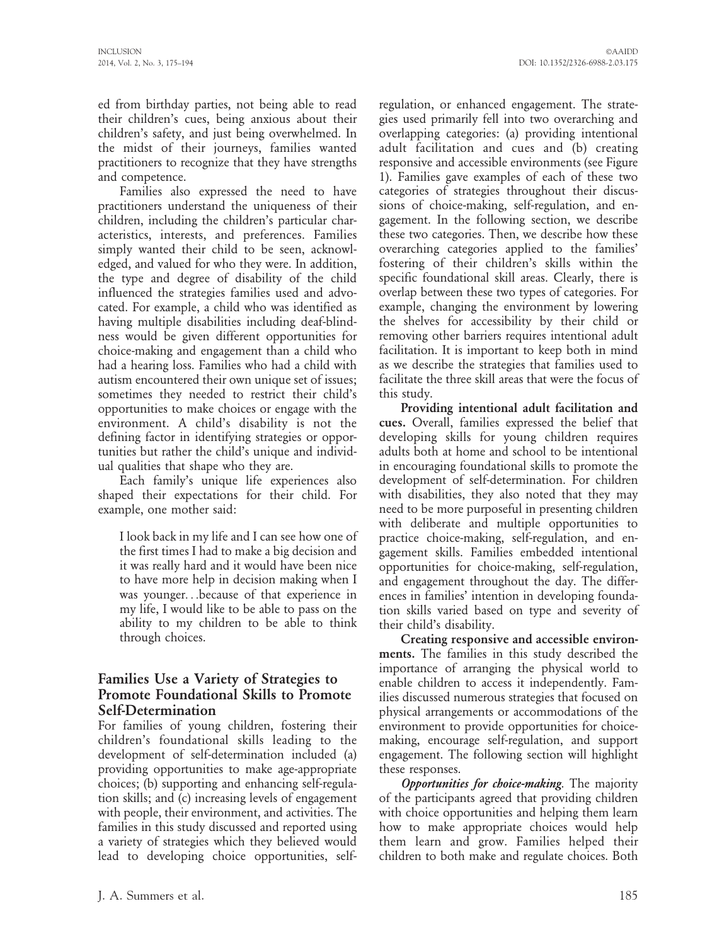ed from birthday parties, not being able to read their children's cues, being anxious about their children's safety, and just being overwhelmed. In the midst of their journeys, families wanted practitioners to recognize that they have strengths and competence.

Families also expressed the need to have practitioners understand the uniqueness of their children, including the children's particular characteristics, interests, and preferences. Families simply wanted their child to be seen, acknowledged, and valued for who they were. In addition, the type and degree of disability of the child influenced the strategies families used and advocated. For example, a child who was identified as having multiple disabilities including deaf-blindness would be given different opportunities for choice-making and engagement than a child who had a hearing loss. Families who had a child with autism encountered their own unique set of issues; sometimes they needed to restrict their child's opportunities to make choices or engage with the environment. A child's disability is not the defining factor in identifying strategies or opportunities but rather the child's unique and individual qualities that shape who they are.

Each family's unique life experiences also shaped their expectations for their child. For example, one mother said:

I look back in my life and I can see how one of the first times I had to make a big decision and it was really hard and it would have been nice to have more help in decision making when I was younger...because of that experience in my life, I would like to be able to pass on the ability to my children to be able to think through choices.

### Families Use a Variety of Strategies to Promote Foundational Skills to Promote Self-Determination

For families of young children, fostering their children's foundational skills leading to the development of self-determination included (a) providing opportunities to make age-appropriate choices; (b) supporting and enhancing self-regulation skills; and (c) increasing levels of engagement with people, their environment, and activities. The families in this study discussed and reported using a variety of strategies which they believed would lead to developing choice opportunities, selfregulation, or enhanced engagement. The strategies used primarily fell into two overarching and overlapping categories: (a) providing intentional adult facilitation and cues and (b) creating responsive and accessible environments (see Figure 1). Families gave examples of each of these two categories of strategies throughout their discussions of choice-making, self-regulation, and engagement. In the following section, we describe these two categories. Then, we describe how these overarching categories applied to the families' fostering of their children's skills within the specific foundational skill areas. Clearly, there is overlap between these two types of categories. For example, changing the environment by lowering the shelves for accessibility by their child or removing other barriers requires intentional adult facilitation. It is important to keep both in mind as we describe the strategies that families used to facilitate the three skill areas that were the focus of this study.

Providing intentional adult facilitation and cues. Overall, families expressed the belief that developing skills for young children requires adults both at home and school to be intentional in encouraging foundational skills to promote the development of self-determination. For children with disabilities, they also noted that they may need to be more purposeful in presenting children with deliberate and multiple opportunities to practice choice-making, self-regulation, and engagement skills. Families embedded intentional opportunities for choice-making, self-regulation, and engagement throughout the day. The differences in families' intention in developing foundation skills varied based on type and severity of their child's disability.

Creating responsive and accessible environments. The families in this study described the importance of arranging the physical world to enable children to access it independently. Families discussed numerous strategies that focused on physical arrangements or accommodations of the environment to provide opportunities for choicemaking, encourage self-regulation, and support engagement. The following section will highlight these responses.

**Opportunities for choice-making.** The majority of the participants agreed that providing children with choice opportunities and helping them learn how to make appropriate choices would help them learn and grow. Families helped their children to both make and regulate choices. Both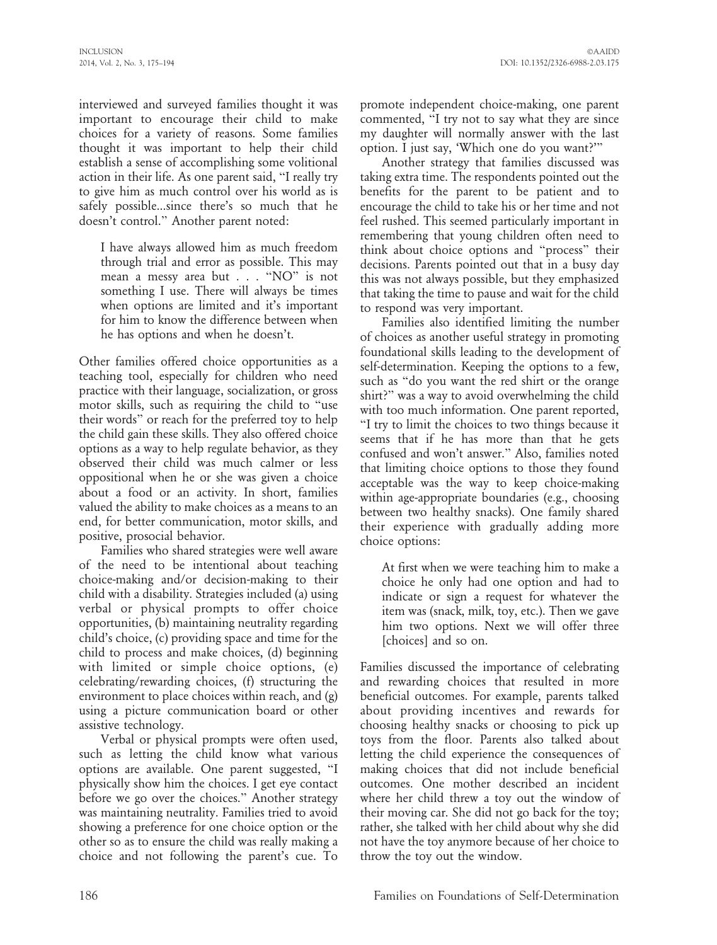interviewed and surveyed families thought it was important to encourage their child to make choices for a variety of reasons. Some families thought it was important to help their child establish a sense of accomplishing some volitional action in their life. As one parent said, ''I really try to give him as much control over his world as is safely possible...since there's so much that he doesn't control.'' Another parent noted:

I have always allowed him as much freedom through trial and error as possible. This may mean a messy area but . . . "NO" is not something I use. There will always be times when options are limited and it's important for him to know the difference between when he has options and when he doesn't.

Other families offered choice opportunities as a teaching tool, especially for children who need practice with their language, socialization, or gross motor skills, such as requiring the child to ''use their words'' or reach for the preferred toy to help the child gain these skills. They also offered choice options as a way to help regulate behavior, as they observed their child was much calmer or less oppositional when he or she was given a choice about a food or an activity. In short, families valued the ability to make choices as a means to an end, for better communication, motor skills, and positive, prosocial behavior.

Families who shared strategies were well aware of the need to be intentional about teaching choice-making and/or decision-making to their child with a disability. Strategies included (a) using verbal or physical prompts to offer choice opportunities, (b) maintaining neutrality regarding child's choice, (c) providing space and time for the child to process and make choices, (d) beginning with limited or simple choice options, (e) celebrating/rewarding choices, (f) structuring the environment to place choices within reach, and (g) using a picture communication board or other assistive technology.

Verbal or physical prompts were often used, such as letting the child know what various options are available. One parent suggested, ''I physically show him the choices. I get eye contact before we go over the choices.'' Another strategy was maintaining neutrality. Families tried to avoid showing a preference for one choice option or the other so as to ensure the child was really making a choice and not following the parent's cue. To

promote independent choice-making, one parent commented, ''I try not to say what they are since my daughter will normally answer with the last option. I just say, 'Which one do you want?'''

Another strategy that families discussed was taking extra time. The respondents pointed out the benefits for the parent to be patient and to encourage the child to take his or her time and not feel rushed. This seemed particularly important in remembering that young children often need to think about choice options and ''process'' their decisions. Parents pointed out that in a busy day this was not always possible, but they emphasized that taking the time to pause and wait for the child to respond was very important.

Families also identified limiting the number of choices as another useful strategy in promoting foundational skills leading to the development of self-determination. Keeping the options to a few, such as ''do you want the red shirt or the orange shirt?'' was a way to avoid overwhelming the child with too much information. One parent reported, ''I try to limit the choices to two things because it seems that if he has more than that he gets confused and won't answer.'' Also, families noted that limiting choice options to those they found acceptable was the way to keep choice-making within age-appropriate boundaries (e.g., choosing between two healthy snacks). One family shared their experience with gradually adding more choice options:

At first when we were teaching him to make a choice he only had one option and had to indicate or sign a request for whatever the item was (snack, milk, toy, etc.). Then we gave him two options. Next we will offer three [choices] and so on.

Families discussed the importance of celebrating and rewarding choices that resulted in more beneficial outcomes. For example, parents talked about providing incentives and rewards for choosing healthy snacks or choosing to pick up toys from the floor. Parents also talked about letting the child experience the consequences of making choices that did not include beneficial outcomes. One mother described an incident where her child threw a toy out the window of their moving car. She did not go back for the toy; rather, she talked with her child about why she did not have the toy anymore because of her choice to throw the toy out the window.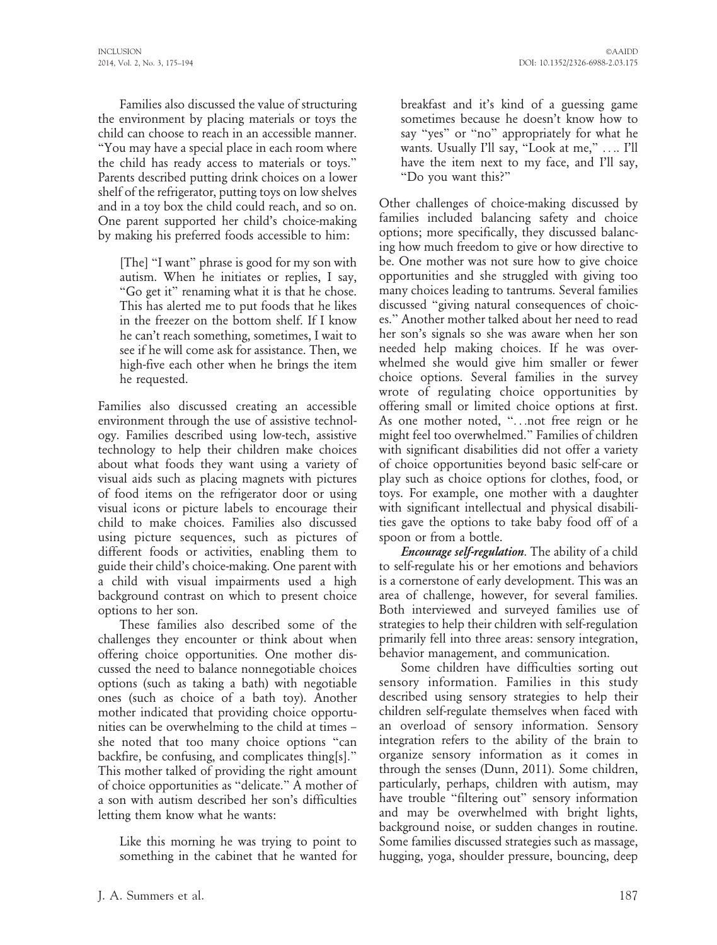Families also discussed the value of structuring the environment by placing materials or toys the child can choose to reach in an accessible manner. ''You may have a special place in each room where the child has ready access to materials or toys.'' Parents described putting drink choices on a lower shelf of the refrigerator, putting toys on low shelves and in a toy box the child could reach, and so on. One parent supported her child's choice-making by making his preferred foods accessible to him:

[The] ''I want'' phrase is good for my son with autism. When he initiates or replies, I say, ''Go get it'' renaming what it is that he chose. This has alerted me to put foods that he likes in the freezer on the bottom shelf. If I know he can't reach something, sometimes, I wait to see if he will come ask for assistance. Then, we high-five each other when he brings the item he requested.

Families also discussed creating an accessible environment through the use of assistive technology. Families described using low-tech, assistive technology to help their children make choices about what foods they want using a variety of visual aids such as placing magnets with pictures of food items on the refrigerator door or using visual icons or picture labels to encourage their child to make choices. Families also discussed using picture sequences, such as pictures of different foods or activities, enabling them to guide their child's choice-making. One parent with a child with visual impairments used a high background contrast on which to present choice options to her son.

These families also described some of the challenges they encounter or think about when offering choice opportunities. One mother discussed the need to balance nonnegotiable choices options (such as taking a bath) with negotiable ones (such as choice of a bath toy). Another mother indicated that providing choice opportunities can be overwhelming to the child at times – she noted that too many choice options ''can backfire, be confusing, and complicates thing[s].'' This mother talked of providing the right amount of choice opportunities as ''delicate.'' A mother of a son with autism described her son's difficulties letting them know what he wants:

Like this morning he was trying to point to something in the cabinet that he wanted for breakfast and it's kind of a guessing game sometimes because he doesn't know how to say ''yes'' or ''no'' appropriately for what he wants. Usually I'll say, ''Look at me,'' .... I'll have the item next to my face, and I'll say, ''Do you want this?''

Other challenges of choice-making discussed by families included balancing safety and choice options; more specifically, they discussed balancing how much freedom to give or how directive to be. One mother was not sure how to give choice opportunities and she struggled with giving too many choices leading to tantrums. Several families discussed ''giving natural consequences of choices.'' Another mother talked about her need to read her son's signals so she was aware when her son needed help making choices. If he was overwhelmed she would give him smaller or fewer choice options. Several families in the survey wrote of regulating choice opportunities by offering small or limited choice options at first. As one mother noted, ''...not free reign or he might feel too overwhelmed.'' Families of children with significant disabilities did not offer a variety of choice opportunities beyond basic self-care or play such as choice options for clothes, food, or toys. For example, one mother with a daughter with significant intellectual and physical disabilities gave the options to take baby food off of a spoon or from a bottle.

**Encourage self-regulation.** The ability of a child to self-regulate his or her emotions and behaviors is a cornerstone of early development. This was an area of challenge, however, for several families. Both interviewed and surveyed families use of strategies to help their children with self-regulation primarily fell into three areas: sensory integration, behavior management, and communication.

Some children have difficulties sorting out sensory information. Families in this study described using sensory strategies to help their children self-regulate themselves when faced with an overload of sensory information. Sensory integration refers to the ability of the brain to organize sensory information as it comes in through the senses (Dunn, 2011). Some children, particularly, perhaps, children with autism, may have trouble "filtering out" sensory information and may be overwhelmed with bright lights, background noise, or sudden changes in routine. Some families discussed strategies such as massage, hugging, yoga, shoulder pressure, bouncing, deep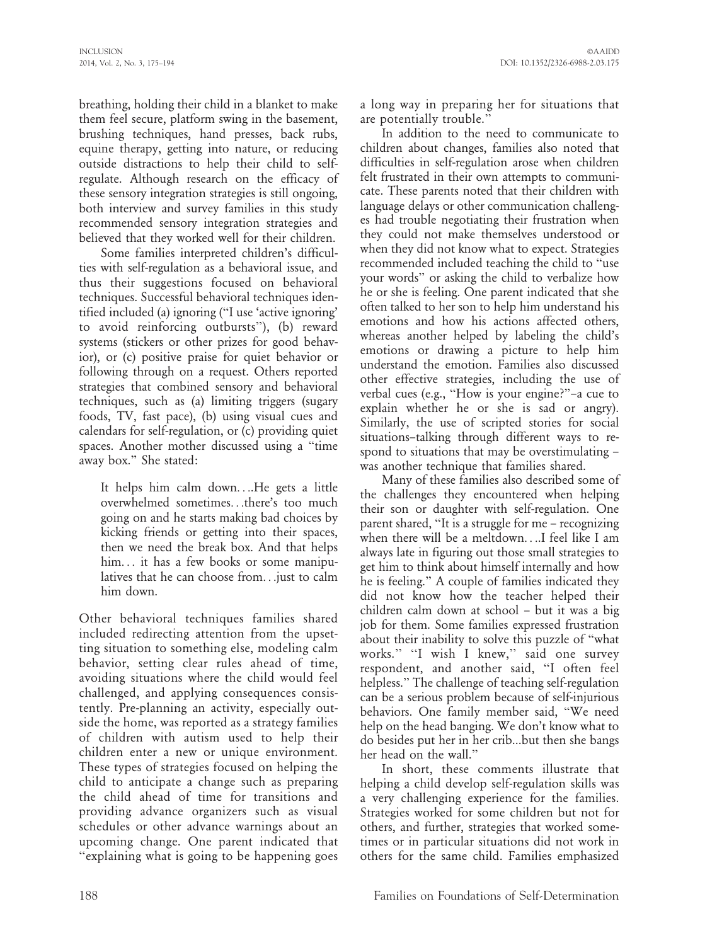breathing, holding their child in a blanket to make them feel secure, platform swing in the basement, brushing techniques, hand presses, back rubs, equine therapy, getting into nature, or reducing outside distractions to help their child to selfregulate. Although research on the efficacy of these sensory integration strategies is still ongoing, both interview and survey families in this study recommended sensory integration strategies and believed that they worked well for their children.

Some families interpreted children's difficulties with self-regulation as a behavioral issue, and thus their suggestions focused on behavioral techniques. Successful behavioral techniques identified included (a) ignoring (''I use 'active ignoring' to avoid reinforcing outbursts''), (b) reward systems (stickers or other prizes for good behavior), or (c) positive praise for quiet behavior or following through on a request. Others reported strategies that combined sensory and behavioral techniques, such as (a) limiting triggers (sugary foods, TV, fast pace), (b) using visual cues and calendars for self-regulation, or (c) providing quiet spaces. Another mother discussed using a ''time away box.'' She stated:

It helps him calm down....He gets a little overwhelmed sometimes...there's too much going on and he starts making bad choices by kicking friends or getting into their spaces, then we need the break box. And that helps him... it has a few books or some manipulatives that he can choose from...just to calm him down.

Other behavioral techniques families shared included redirecting attention from the upsetting situation to something else, modeling calm behavior, setting clear rules ahead of time, avoiding situations where the child would feel challenged, and applying consequences consistently. Pre-planning an activity, especially outside the home, was reported as a strategy families of children with autism used to help their children enter a new or unique environment. These types of strategies focused on helping the child to anticipate a change such as preparing the child ahead of time for transitions and providing advance organizers such as visual schedules or other advance warnings about an upcoming change. One parent indicated that ''explaining what is going to be happening goes a long way in preparing her for situations that are potentially trouble.''

In addition to the need to communicate to children about changes, families also noted that difficulties in self-regulation arose when children felt frustrated in their own attempts to communicate. These parents noted that their children with language delays or other communication challenges had trouble negotiating their frustration when they could not make themselves understood or when they did not know what to expect. Strategies recommended included teaching the child to ''use your words'' or asking the child to verbalize how he or she is feeling. One parent indicated that she often talked to her son to help him understand his emotions and how his actions affected others, whereas another helped by labeling the child's emotions or drawing a picture to help him understand the emotion. Families also discussed other effective strategies, including the use of verbal cues (e.g., ''How is your engine?''–a cue to explain whether he or she is sad or angry). Similarly, the use of scripted stories for social situations–talking through different ways to respond to situations that may be overstimulating – was another technique that families shared.

Many of these families also described some of the challenges they encountered when helping their son or daughter with self-regulation. One parent shared, ''It is a struggle for me – recognizing when there will be a meltdown....I feel like I am always late in figuring out those small strategies to get him to think about himself internally and how he is feeling.'' A couple of families indicated they did not know how the teacher helped their children calm down at school – but it was a big job for them. Some families expressed frustration about their inability to solve this puzzle of ''what works.'' ''I wish I knew,'' said one survey respondent, and another said, ''I often feel helpless.'' The challenge of teaching self-regulation can be a serious problem because of self-injurious behaviors. One family member said, ''We need help on the head banging. We don't know what to do besides put her in her crib...but then she bangs her head on the wall.''

In short, these comments illustrate that helping a child develop self-regulation skills was a very challenging experience for the families. Strategies worked for some children but not for others, and further, strategies that worked sometimes or in particular situations did not work in others for the same child. Families emphasized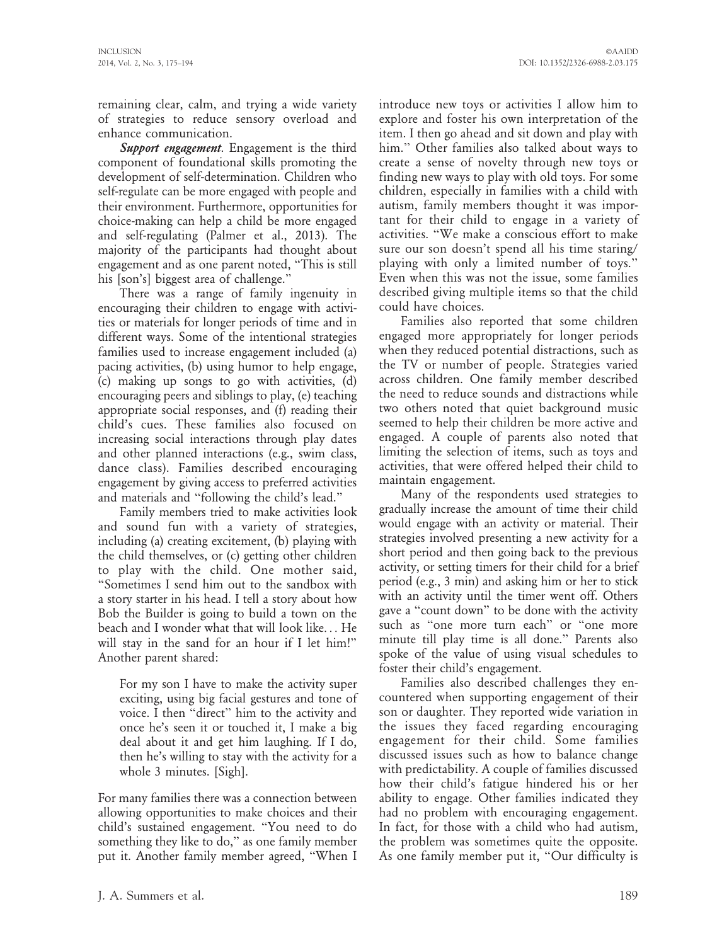remaining clear, calm, and trying a wide variety of strategies to reduce sensory overload and enhance communication.

Support engagement. Engagement is the third component of foundational skills promoting the development of self-determination. Children who self-regulate can be more engaged with people and their environment. Furthermore, opportunities for choice-making can help a child be more engaged and self-regulating (Palmer et al., 2013). The majority of the participants had thought about engagement and as one parent noted, ''This is still his [son's] biggest area of challenge."

There was a range of family ingenuity in encouraging their children to engage with activities or materials for longer periods of time and in different ways. Some of the intentional strategies families used to increase engagement included (a) pacing activities, (b) using humor to help engage, (c) making up songs to go with activities, (d) encouraging peers and siblings to play, (e) teaching appropriate social responses, and (f) reading their child's cues. These families also focused on increasing social interactions through play dates and other planned interactions (e.g., swim class, dance class). Families described encouraging engagement by giving access to preferred activities and materials and ''following the child's lead.''

Family members tried to make activities look and sound fun with a variety of strategies, including (a) creating excitement, (b) playing with the child themselves, or (c) getting other children to play with the child. One mother said, ''Sometimes I send him out to the sandbox with a story starter in his head. I tell a story about how Bob the Builder is going to build a town on the beach and I wonder what that will look like... He will stay in the sand for an hour if I let him!'' Another parent shared:

For my son I have to make the activity super exciting, using big facial gestures and tone of voice. I then ''direct'' him to the activity and once he's seen it or touched it, I make a big deal about it and get him laughing. If I do, then he's willing to stay with the activity for a whole 3 minutes. [Sigh].

For many families there was a connection between allowing opportunities to make choices and their child's sustained engagement. ''You need to do something they like to do," as one family member put it. Another family member agreed, ''When I introduce new toys or activities I allow him to explore and foster his own interpretation of the item. I then go ahead and sit down and play with him.'' Other families also talked about ways to create a sense of novelty through new toys or finding new ways to play with old toys. For some children, especially in families with a child with autism, family members thought it was important for their child to engage in a variety of activities. ''We make a conscious effort to make sure our son doesn't spend all his time staring/ playing with only a limited number of toys.'' Even when this was not the issue, some families described giving multiple items so that the child could have choices.

Families also reported that some children engaged more appropriately for longer periods when they reduced potential distractions, such as the TV or number of people. Strategies varied across children. One family member described the need to reduce sounds and distractions while two others noted that quiet background music seemed to help their children be more active and engaged. A couple of parents also noted that limiting the selection of items, such as toys and activities, that were offered helped their child to maintain engagement.

Many of the respondents used strategies to gradually increase the amount of time their child would engage with an activity or material. Their strategies involved presenting a new activity for a short period and then going back to the previous activity, or setting timers for their child for a brief period (e.g., 3 min) and asking him or her to stick with an activity until the timer went off. Others gave a ''count down'' to be done with the activity such as ''one more turn each'' or ''one more minute till play time is all done.'' Parents also spoke of the value of using visual schedules to foster their child's engagement.

Families also described challenges they encountered when supporting engagement of their son or daughter. They reported wide variation in the issues they faced regarding encouraging engagement for their child. Some families discussed issues such as how to balance change with predictability. A couple of families discussed how their child's fatigue hindered his or her ability to engage. Other families indicated they had no problem with encouraging engagement. In fact, for those with a child who had autism, the problem was sometimes quite the opposite. As one family member put it, ''Our difficulty is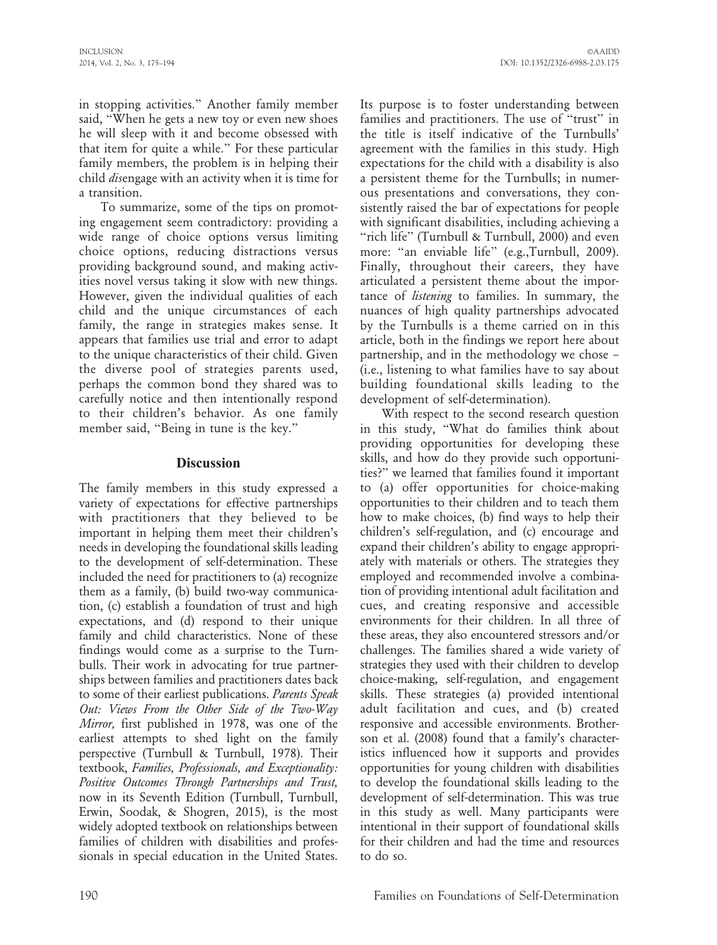in stopping activities.'' Another family member said, ''When he gets a new toy or even new shoes he will sleep with it and become obsessed with that item for quite a while.'' For these particular family members, the problem is in helping their child disengage with an activity when it is time for a transition.

To summarize, some of the tips on promoting engagement seem contradictory: providing a wide range of choice options versus limiting choice options, reducing distractions versus providing background sound, and making activities novel versus taking it slow with new things. However, given the individual qualities of each child and the unique circumstances of each family, the range in strategies makes sense. It appears that families use trial and error to adapt to the unique characteristics of their child. Given the diverse pool of strategies parents used, perhaps the common bond they shared was to carefully notice and then intentionally respond to their children's behavior. As one family member said, ''Being in tune is the key.''

#### **Discussion**

The family members in this study expressed a variety of expectations for effective partnerships with practitioners that they believed to be important in helping them meet their children's needs in developing the foundational skills leading to the development of self-determination. These included the need for practitioners to (a) recognize them as a family, (b) build two-way communication, (c) establish a foundation of trust and high expectations, and (d) respond to their unique family and child characteristics. None of these findings would come as a surprise to the Turnbulls. Their work in advocating for true partnerships between families and practitioners dates back to some of their earliest publications. Parents Speak Out: Views From the Other Side of the Two-Way *Mirror*, first published in 1978, was one of the earliest attempts to shed light on the family perspective (Turnbull & Turnbull, 1978). Their textbook, Families, Professionals, and Exceptionality: Positive Outcomes Through Partnerships and Trust, now in its Seventh Edition (Turnbull, Turnbull, Erwin, Soodak, & Shogren, 2015), is the most widely adopted textbook on relationships between families of children with disabilities and professionals in special education in the United States.

Its purpose is to foster understanding between families and practitioners. The use of ''trust'' in the title is itself indicative of the Turnbulls' agreement with the families in this study. High expectations for the child with a disability is also a persistent theme for the Turnbulls; in numerous presentations and conversations, they consistently raised the bar of expectations for people with significant disabilities, including achieving a "rich life" (Turnbull & Turnbull, 2000) and even more: ''an enviable life'' (e.g.,Turnbull, 2009). Finally, throughout their careers, they have articulated a persistent theme about the importance of *listening* to families. In summary, the nuances of high quality partnerships advocated by the Turnbulls is a theme carried on in this article, both in the findings we report here about partnership, and in the methodology we chose – (i.e., listening to what families have to say about building foundational skills leading to the development of self-determination).

With respect to the second research question in this study, ''What do families think about providing opportunities for developing these skills, and how do they provide such opportunities?'' we learned that families found it important to (a) offer opportunities for choice-making opportunities to their children and to teach them how to make choices, (b) find ways to help their children's self-regulation, and (c) encourage and expand their children's ability to engage appropriately with materials or others. The strategies they employed and recommended involve a combination of providing intentional adult facilitation and cues, and creating responsive and accessible environments for their children. In all three of these areas, they also encountered stressors and/or challenges. The families shared a wide variety of strategies they used with their children to develop choice-making, self-regulation, and engagement skills. These strategies (a) provided intentional adult facilitation and cues, and (b) created responsive and accessible environments. Brotherson et al. (2008) found that a family's characteristics influenced how it supports and provides opportunities for young children with disabilities to develop the foundational skills leading to the development of self-determination. This was true in this study as well. Many participants were intentional in their support of foundational skills for their children and had the time and resources to do so.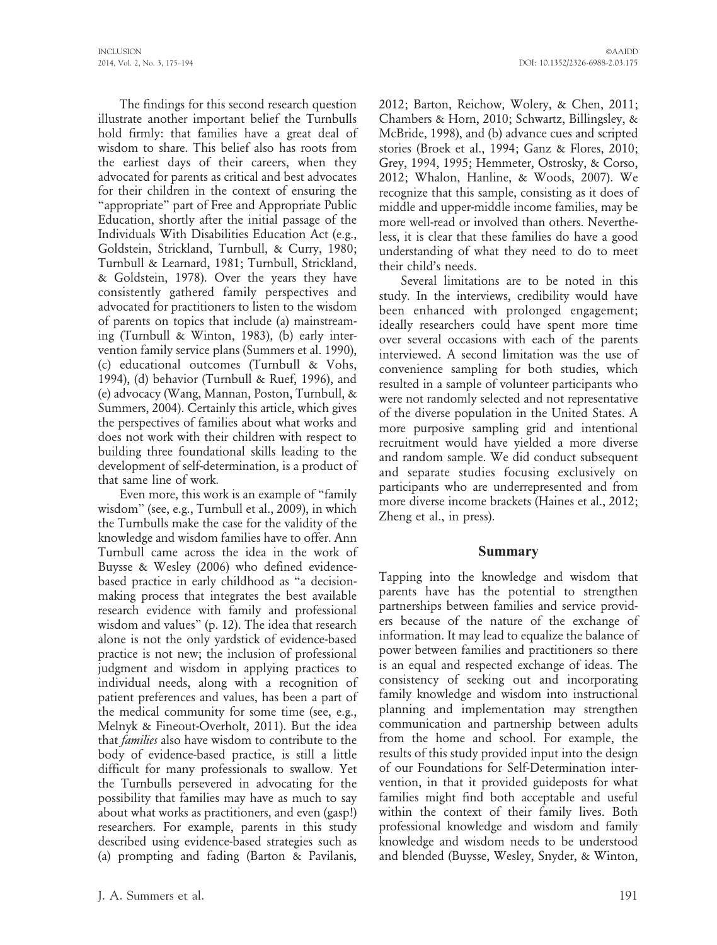The findings for this second research question illustrate another important belief the Turnbulls hold firmly: that families have a great deal of wisdom to share. This belief also has roots from the earliest days of their careers, when they advocated for parents as critical and best advocates for their children in the context of ensuring the ''appropriate'' part of Free and Appropriate Public Education, shortly after the initial passage of the Individuals With Disabilities Education Act (e.g., Goldstein, Strickland, Turnbull, & Curry, 1980; Turnbull & Learnard, 1981; Turnbull, Strickland, & Goldstein, 1978). Over the years they have consistently gathered family perspectives and advocated for practitioners to listen to the wisdom of parents on topics that include (a) mainstreaming (Turnbull & Winton, 1983), (b) early intervention family service plans (Summers et al. 1990), (c) educational outcomes (Turnbull & Vohs, 1994), (d) behavior (Turnbull & Ruef, 1996), and (e) advocacy (Wang, Mannan, Poston, Turnbull, & Summers, 2004). Certainly this article, which gives the perspectives of families about what works and does not work with their children with respect to building three foundational skills leading to the development of self-determination, is a product of that same line of work.

Even more, this work is an example of ''family wisdom'' (see, e.g., Turnbull et al., 2009), in which the Turnbulls make the case for the validity of the knowledge and wisdom families have to offer. Ann Turnbull came across the idea in the work of Buysse & Wesley (2006) who defined evidencebased practice in early childhood as ''a decisionmaking process that integrates the best available research evidence with family and professional wisdom and values'' (p. 12). The idea that research alone is not the only yardstick of evidence-based practice is not new; the inclusion of professional judgment and wisdom in applying practices to individual needs, along with a recognition of patient preferences and values, has been a part of the medical community for some time (see, e.g., Melnyk & Fineout-Overholt, 2011). But the idea that *families* also have wisdom to contribute to the body of evidence-based practice, is still a little difficult for many professionals to swallow. Yet the Turnbulls persevered in advocating for the possibility that families may have as much to say about what works as practitioners, and even (gasp!) researchers. For example, parents in this study described using evidence-based strategies such as (a) prompting and fading (Barton & Pavilanis,

2012; Barton, Reichow, Wolery, & Chen, 2011; Chambers & Horn, 2010; Schwartz, Billingsley, & McBride, 1998), and (b) advance cues and scripted stories (Broek et al., 1994; Ganz & Flores, 2010; Grey, 1994, 1995; Hemmeter, Ostrosky, & Corso, 2012; Whalon, Hanline, & Woods, 2007). We recognize that this sample, consisting as it does of middle and upper-middle income families, may be more well-read or involved than others. Nevertheless, it is clear that these families do have a good understanding of what they need to do to meet their child's needs.

Several limitations are to be noted in this study. In the interviews, credibility would have been enhanced with prolonged engagement; ideally researchers could have spent more time over several occasions with each of the parents interviewed. A second limitation was the use of convenience sampling for both studies, which resulted in a sample of volunteer participants who were not randomly selected and not representative of the diverse population in the United States. A more purposive sampling grid and intentional recruitment would have yielded a more diverse and random sample. We did conduct subsequent and separate studies focusing exclusively on participants who are underrepresented and from more diverse income brackets (Haines et al., 2012; Zheng et al., in press).

#### Summary

Tapping into the knowledge and wisdom that parents have has the potential to strengthen partnerships between families and service providers because of the nature of the exchange of information. It may lead to equalize the balance of power between families and practitioners so there is an equal and respected exchange of ideas. The consistency of seeking out and incorporating family knowledge and wisdom into instructional planning and implementation may strengthen communication and partnership between adults from the home and school. For example, the results of this study provided input into the design of our Foundations for Self-Determination intervention, in that it provided guideposts for what families might find both acceptable and useful within the context of their family lives. Both professional knowledge and wisdom and family knowledge and wisdom needs to be understood and blended (Buysse, Wesley, Snyder, & Winton,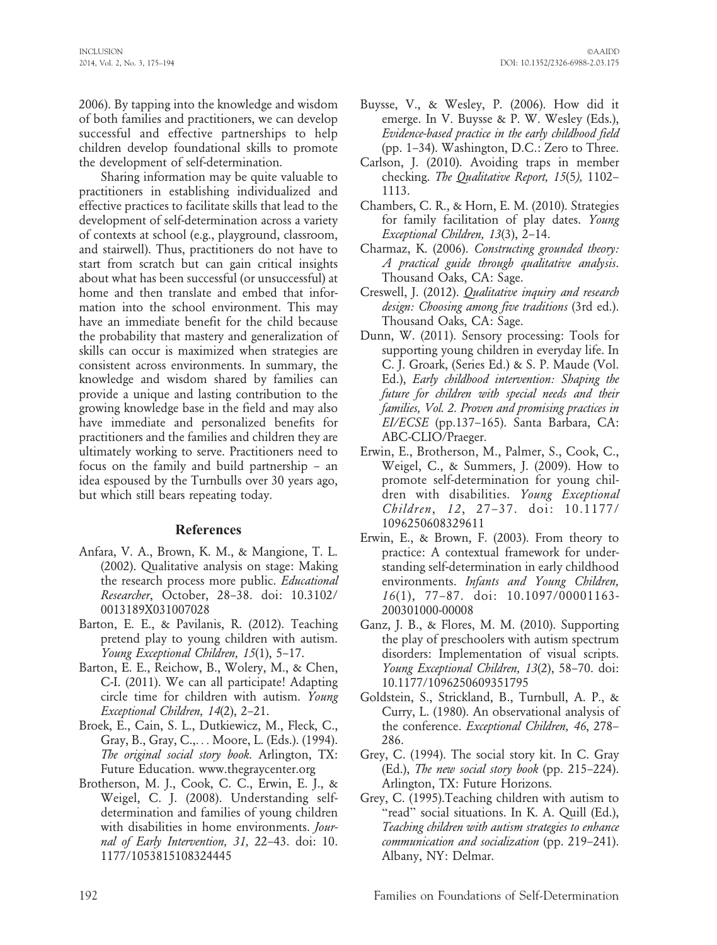2006). By tapping into the knowledge and wisdom of both families and practitioners, we can develop successful and effective partnerships to help children develop foundational skills to promote the development of self-determination.

Sharing information may be quite valuable to practitioners in establishing individualized and effective practices to facilitate skills that lead to the development of self-determination across a variety of contexts at school (e.g., playground, classroom, and stairwell). Thus, practitioners do not have to start from scratch but can gain critical insights about what has been successful (or unsuccessful) at home and then translate and embed that information into the school environment. This may have an immediate benefit for the child because the probability that mastery and generalization of skills can occur is maximized when strategies are consistent across environments. In summary, the knowledge and wisdom shared by families can provide a unique and lasting contribution to the growing knowledge base in the field and may also have immediate and personalized benefits for practitioners and the families and children they are ultimately working to serve. Practitioners need to focus on the family and build partnership – an idea espoused by the Turnbulls over 30 years ago, but which still bears repeating today.

#### References

- Anfara, V. A., Brown, K. M., & Mangione, T. L. (2002). Qualitative analysis on stage: Making the research process more public. Educational Researcher, October, 28–38. doi: 10.3102/ 0013189X031007028
- Barton, E. E., & Pavilanis, R. (2012). Teaching pretend play to young children with autism. Young Exceptional Children, 15(1), 5–17.
- Barton, E. E., Reichow, B., Wolery, M., & Chen, C-I. (2011). We can all participate! Adapting circle time for children with autism. Young Exceptional Children, 14(2), 2–21.
- Broek, E., Cain, S. L., Dutkiewicz, M., Fleck, C., Gray, B., Gray, C.,... Moore, L. (Eds.). (1994). The original social story book. Arlington, TX: Future Education. www.thegraycenter.org
- Brotherson, M. J., Cook, C. C., Erwin, E. J., & Weigel, C. J. (2008). Understanding selfdetermination and families of young children with disabilities in home environments. Journal of Early Intervention, 31, 22–43. doi: 10. 1177/1053815108324445
- Buysse, V., & Wesley, P. (2006). How did it emerge. In V. Buysse & P. W. Wesley (Eds.), Evidence-based practice in the early childhood field (pp. 1–34). Washington, D.C.: Zero to Three.
- Carlson, J. (2010). Avoiding traps in member checking. The Qualitative Report, 15(5), 1102– 1113.
- Chambers, C. R., & Horn, E. M. (2010). Strategies for family facilitation of play dates. Young Exceptional Children, 13(3), 2–14.
- Charmaz, K. (2006). Constructing grounded theory: A practical guide through qualitative analysis. Thousand Oaks, CA: Sage.
- Creswell, J. (2012). Qualitative inquiry and research design: Choosing among five traditions (3rd ed.). Thousand Oaks, CA: Sage.
- Dunn, W. (2011). Sensory processing: Tools for supporting young children in everyday life. In C. J. Groark, (Series Ed.) & S. P. Maude (Vol. Ed.), Early childhood intervention: Shaping the future for children with special needs and their families, Vol. 2. Proven and promising practices in EI/ECSE (pp.137–165). Santa Barbara, CA: ABC-CLIO/Praeger.
- Erwin, E., Brotherson, M., Palmer, S., Cook, C., Weigel, C., & Summers, J. (2009). How to promote self-determination for young children with disabilities. Young Exceptional Children, 12, 27–37. doi: 10.1177/ 1096250608329611
- Erwin, E., & Brown, F. (2003). From theory to practice: A contextual framework for understanding self-determination in early childhood environments. Infants and Young Children, 16(1), 77–87. doi: 10.1097/00001163- 200301000-00008
- Ganz, J. B., & Flores, M. M. (2010). Supporting the play of preschoolers with autism spectrum disorders: Implementation of visual scripts. Young Exceptional Children, 13(2), 58–70. doi: 10.1177/1096250609351795
- Goldstein, S., Strickland, B., Turnbull, A. P., & Curry, L. (1980). An observational analysis of the conference. Exceptional Children, 46, 278– 286.
- Grey, C. (1994). The social story kit. In C. Gray (Ed.), The new social story book (pp. 215–224). Arlington, TX: Future Horizons.
- Grey, C. (1995).Teaching children with autism to ''read'' social situations. In K. A. Quill (Ed.), Teaching children with autism strategies to enhance communication and socialization (pp. 219–241). Albany, NY: Delmar.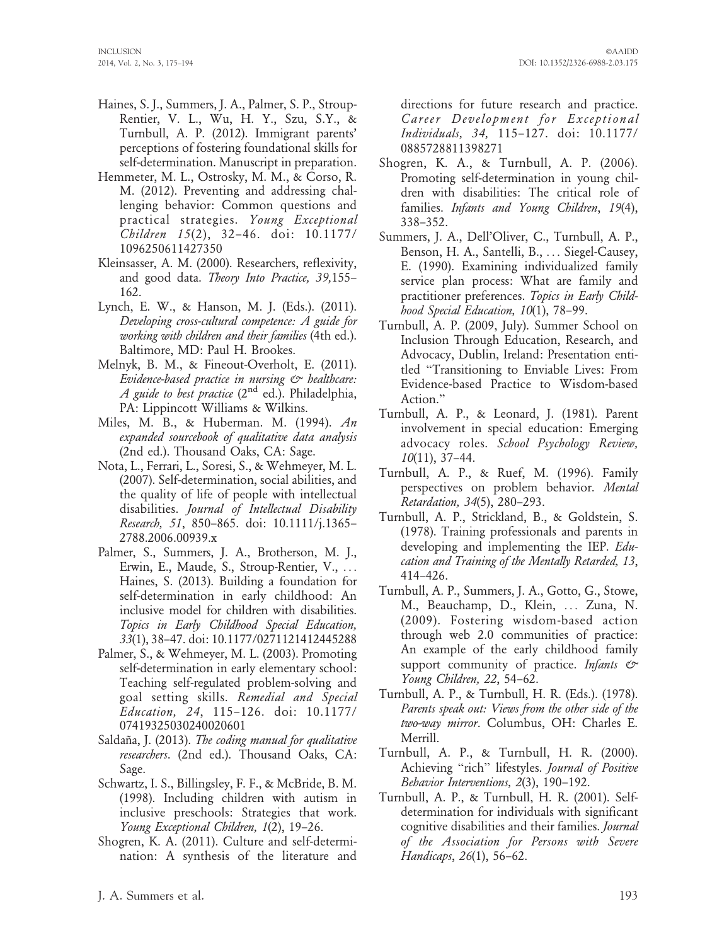- Haines, S. J., Summers, J. A., Palmer, S. P., Stroup-Rentier, V. L., Wu, H. Y., Szu, S.Y., & Turnbull, A. P. (2012). Immigrant parents' perceptions of fostering foundational skills for self-determination. Manuscript in preparation.
- Hemmeter, M. L., Ostrosky, M. M., & Corso, R. M. (2012). Preventing and addressing challenging behavior: Common questions and practical strategies. Young Exceptional Children 15(2), 32–46. doi: 10.1177/ 1096250611427350
- Kleinsasser, A. M. (2000). Researchers, reflexivity, and good data. Theory Into Practice, 39,155– 162.
- Lynch, E. W., & Hanson, M. J. (Eds.). (2011). Developing cross-cultural competence: A guide for working with children and their families (4th ed.). Baltimore, MD: Paul H. Brookes.
- Melnyk, B. M., & Fineout-Overholt, E. (2011). Evidence-based practice in nursing  $\mathfrak{S}$  healthcare: A guide to best practice  $(2^{nd}$  ed.). Philadelphia, PA: Lippincott Williams & Wilkins.
- Miles, M. B., & Huberman. M. (1994). An expanded sourcebook of qualitative data analysis (2nd ed.). Thousand Oaks, CA: Sage.
- Nota, L., Ferrari, L., Soresi, S., & Wehmeyer, M. L. (2007). Self-determination, social abilities, and the quality of life of people with intellectual disabilities. Journal of Intellectual Disability Research, 51, 850–865. doi: 10.1111/j.1365– 2788.2006.00939.x
- Palmer, S., Summers, J. A., Brotherson, M. J., Erwin, E., Maude, S., Stroup-Rentier, V., ... Haines, S. (2013). Building a foundation for self-determination in early childhood: An inclusive model for children with disabilities. Topics in Early Childhood Special Education, 33(1), 38–47. doi: 10.1177/0271121412445288
- Palmer, S., & Wehmeyer, M. L. (2003). Promoting self-determination in early elementary school: Teaching self-regulated problem-solving and goal setting skills. Remedial and Special Education, 24, 115–126. doi: 10.1177/ 07419325030240020601
- Saldaña, J. (2013). The coding manual for qualitative researchers. (2nd ed.). Thousand Oaks, CA: Sage.
- Schwartz, I. S., Billingsley, F. F., & McBride, B. M. (1998). Including children with autism in inclusive preschools: Strategies that work. Young Exceptional Children, 1(2), 19–26.
- Shogren, K. A. (2011). Culture and self-determination: A synthesis of the literature and

directions for future research and practice. Career Development for Exceptional Individuals, 34, 115–127. doi: 10.1177/ 0885728811398271

- Shogren, K. A., & Turnbull, A. P. (2006). Promoting self-determination in young children with disabilities: The critical role of families. Infants and Young Children, 19(4), 338–352.
- Summers, J. A., Dell'Oliver, C., Turnbull, A. P., Benson, H. A., Santelli, B., ... Siegel-Causey, E. (1990). Examining individualized family service plan process: What are family and practitioner preferences. Topics in Early Childhood Special Education, 10(1), 78–99.
- Turnbull, A. P. (2009, July). Summer School on Inclusion Through Education, Research, and Advocacy, Dublin, Ireland: Presentation entitled ''Transitioning to Enviable Lives: From Evidence-based Practice to Wisdom-based Action.''
- Turnbull, A. P., & Leonard, J. (1981). Parent involvement in special education: Emerging advocacy roles. School Psychology Review, 10(11), 37–44.
- Turnbull, A. P., & Ruef, M. (1996). Family perspectives on problem behavior. Mental Retardation, 34(5), 280–293.
- Turnbull, A. P., Strickland, B., & Goldstein, S. (1978). Training professionals and parents in developing and implementing the IEP. Education and Training of the Mentally Retarded, 13, 414–426.
- Turnbull, A. P., Summers, J. A., Gotto, G., Stowe, M., Beauchamp, D., Klein, ... Zuna, N. (2009). Fostering wisdom-based action through web 2.0 communities of practice: An example of the early childhood family support community of practice. Infants  $\mathfrak{S}$ Young Children, 22, 54–62.
- Turnbull, A. P., & Turnbull, H. R. (Eds.). (1978). Parents speak out: Views from the other side of the two-way mirror. Columbus, OH: Charles E. Merrill.
- Turnbull, A. P., & Turnbull, H. R. (2000). Achieving "rich" lifestyles. Journal of Positive Behavior Interventions, 2(3), 190–192.
- Turnbull, A. P., & Turnbull, H. R. (2001). Selfdetermination for individuals with significant cognitive disabilities and their families. Journal of the Association for Persons with Severe Handicaps, 26(1), 56–62.